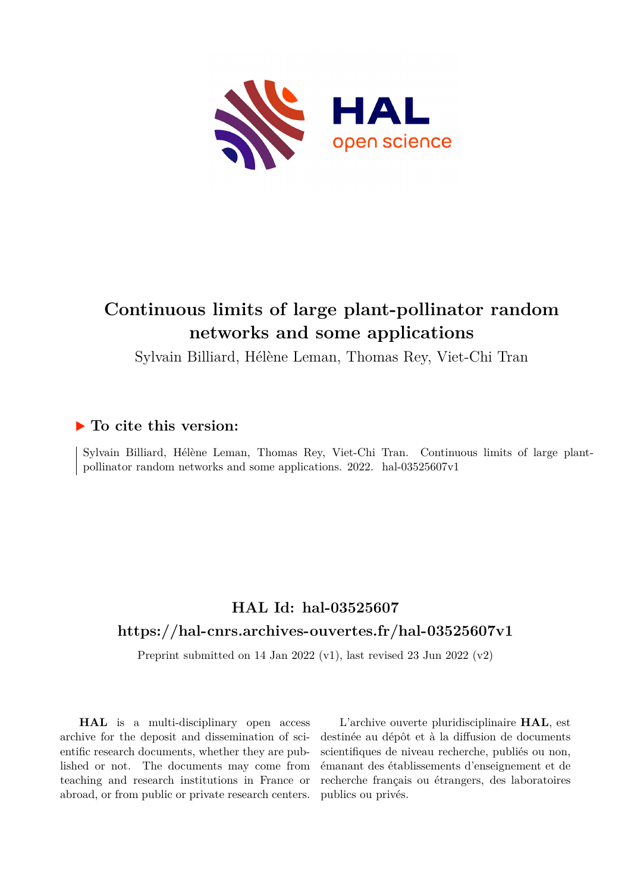

# **Continuous limits of large plant-pollinator random networks and some applications**

Sylvain Billiard, Hélène Leman, Thomas Rey, Viet-Chi Tran

## **To cite this version:**

Sylvain Billiard, Hélène Leman, Thomas Rey, Viet-Chi Tran. Continuous limits of large plantpollinator random networks and some applications.  $2022$ . hal- $03525607v1$ 

# **HAL Id: hal-03525607 <https://hal-cnrs.archives-ouvertes.fr/hal-03525607v1>**

Preprint submitted on 14 Jan 2022 (v1), last revised 23 Jun 2022 (v2)

**HAL** is a multi-disciplinary open access archive for the deposit and dissemination of scientific research documents, whether they are published or not. The documents may come from teaching and research institutions in France or abroad, or from public or private research centers.

L'archive ouverte pluridisciplinaire **HAL**, est destinée au dépôt et à la diffusion de documents scientifiques de niveau recherche, publiés ou non, émanant des établissements d'enseignement et de recherche français ou étrangers, des laboratoires publics ou privés.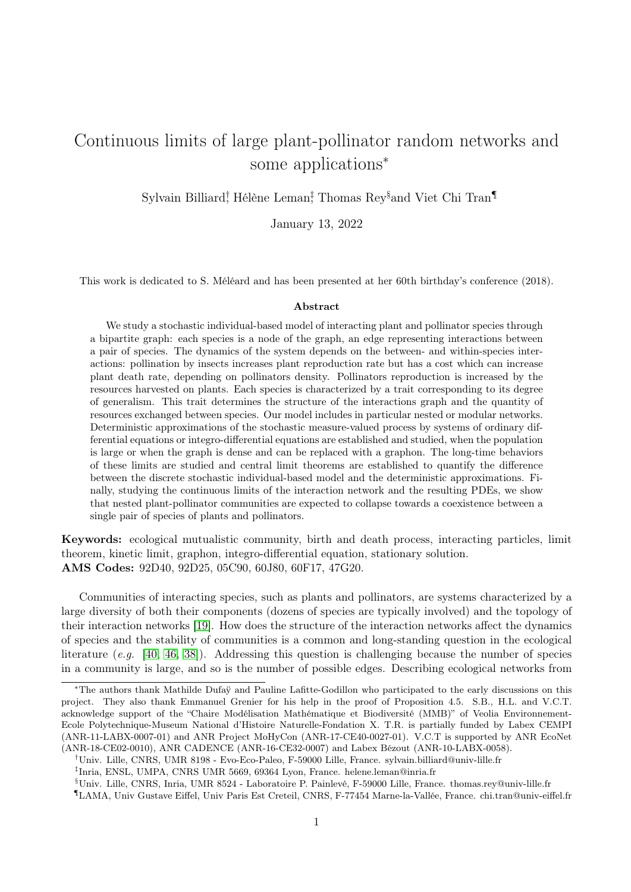# Continuous limits of large plant-pollinator random networks and some applications<sup>∗</sup>

Sylvain Billiard<sup>†</sup> Hélène Leman<sup>‡</sup> Thomas Rey<sup>§</sup>and Viet Chi Tran<sup>¶</sup>

January 13, 2022

This work is dedicated to S. Méléard and has been presented at her 60th birthday's conference (2018).

#### Abstract

We study a stochastic individual-based model of interacting plant and pollinator species through a bipartite graph: each species is a node of the graph, an edge representing interactions between a pair of species. The dynamics of the system depends on the between- and within-species interactions: pollination by insects increases plant reproduction rate but has a cost which can increase plant death rate, depending on pollinators density. Pollinators reproduction is increased by the resources harvested on plants. Each species is characterized by a trait corresponding to its degree of generalism. This trait determines the structure of the interactions graph and the quantity of resources exchanged between species. Our model includes in particular nested or modular networks. Deterministic approximations of the stochastic measure-valued process by systems of ordinary differential equations or integro-differential equations are established and studied, when the population is large or when the graph is dense and can be replaced with a graphon. The long-time behaviors of these limits are studied and central limit theorems are established to quantify the difference between the discrete stochastic individual-based model and the deterministic approximations. Finally, studying the continuous limits of the interaction network and the resulting PDEs, we show that nested plant-pollinator communities are expected to collapse towards a coexistence between a single pair of species of plants and pollinators.

Keywords: ecological mutualistic community, birth and death process, interacting particles, limit theorem, kinetic limit, graphon, integro-differential equation, stationary solution. AMS Codes: 92D40, 92D25, 05C90, 60J80, 60F17, 47G20.

Communities of interacting species, such as plants and pollinators, are systems characterized by a large diversity of both their components (dozens of species are typically involved) and the topology of their interaction networks [19]. How does the structure of the interaction networks affect the dynamics of species and the stability of communities is a common and long-standing question in the ecological literature  $(e.g. [40, 46, 38])$ . Addressing this question is challenging because the number of species in a community is large, and so is the number of possible edges. Describing ecological networks from

<sup>∗</sup>The authors thank Mathilde Dufaÿ and Pauline Lafitte-Godillon who participated to the early discussions on this project. They also thank Emmanuel Grenier for his help in the proof of Proposition 4.5. S.B., H.L. and V.C.T. acknowledge support of the "Chaire Modélisation Mathématique et Biodiversité (MMB)" of Veolia Environnement-Ecole Polytechnique-Museum National d'Histoire Naturelle-Fondation X. T.R. is partially funded by Labex CEMPI (ANR-11-LABX-0007-01) and ANR Project MoHyCon (ANR-17-CE40-0027-01). V.C.T is supported by ANR EcoNet (ANR-18-CE02-0010), ANR CADENCE (ANR-16-CE32-0007) and Labex Bézout (ANR-10-LABX-0058).

<sup>†</sup>Univ. Lille, CNRS, UMR 8198 - Evo-Eco-Paleo, F-59000 Lille, France. sylvain.billiard@univ-lille.fr

<sup>‡</sup> Inria, ENSL, UMPA, CNRS UMR 5669, 69364 Lyon, France. helene.leman@inria.fr

<sup>§</sup>Univ. Lille, CNRS, Inria, UMR 8524 - Laboratoire P. Painlevé, F-59000 Lille, France. thomas.rey@univ-lille.fr

<sup>¶</sup>LAMA, Univ Gustave Eiffel, Univ Paris Est Creteil, CNRS, F-77454 Marne-la-Vallée, France. chi.tran@univ-eiffel.fr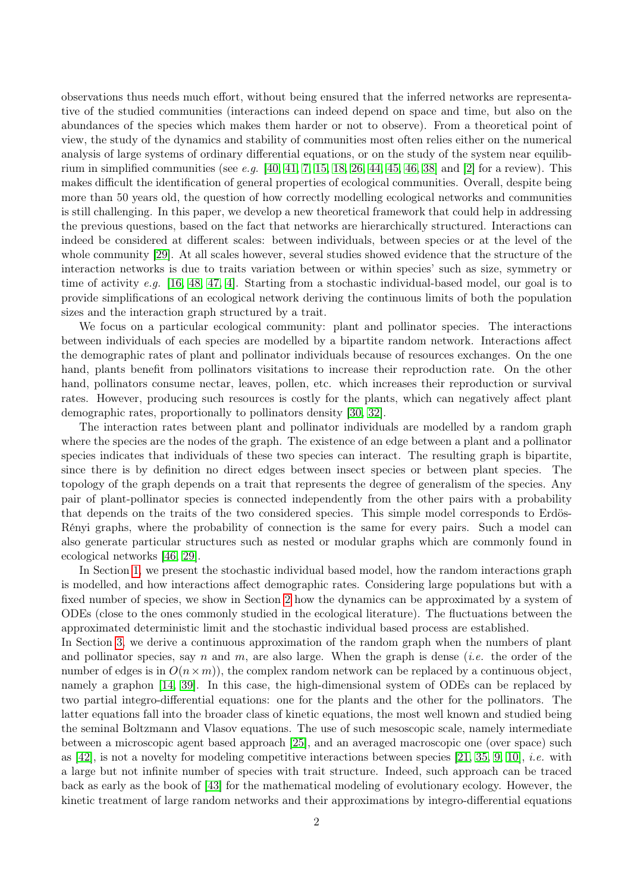observations thus needs much effort, without being ensured that the inferred networks are representative of the studied communities (interactions can indeed depend on space and time, but also on the abundances of the species which makes them harder or not to observe). From a theoretical point of view, the study of the dynamics and stability of communities most often relies either on the numerical analysis of large systems of ordinary differential equations, or on the study of the system near equilibrium in simplified communities (see e.g. [40, 41, 7, 15, 18, 26, 44, 45, 46, 38] and [2] for a review). This makes difficult the identification of general properties of ecological communities. Overall, despite being more than 50 years old, the question of how correctly modelling ecological networks and communities is still challenging. In this paper, we develop a new theoretical framework that could help in addressing the previous questions, based on the fact that networks are hierarchically structured. Interactions can indeed be considered at different scales: between individuals, between species or at the level of the whole community [29]. At all scales however, several studies showed evidence that the structure of the interaction networks is due to traits variation between or within species' such as size, symmetry or time of activity e.g.  $[16, 48, 47, 4]$ . Starting from a stochastic individual-based model, our goal is to provide simplifications of an ecological network deriving the continuous limits of both the population sizes and the interaction graph structured by a trait.

We focus on a particular ecological community: plant and pollinator species. The interactions between individuals of each species are modelled by a bipartite random network. Interactions affect the demographic rates of plant and pollinator individuals because of resources exchanges. On the one hand, plants benefit from pollinators visitations to increase their reproduction rate. On the other hand, pollinators consume nectar, leaves, pollen, etc. which increases their reproduction or survival rates. However, producing such resources is costly for the plants, which can negatively affect plant demographic rates, proportionally to pollinators density [30, 32].

The interaction rates between plant and pollinator individuals are modelled by a random graph where the species are the nodes of the graph. The existence of an edge between a plant and a pollinator species indicates that individuals of these two species can interact. The resulting graph is bipartite, since there is by definition no direct edges between insect species or between plant species. The topology of the graph depends on a trait that represents the degree of generalism of the species. Any pair of plant-pollinator species is connected independently from the other pairs with a probability that depends on the traits of the two considered species. This simple model corresponds to Erdös-Rényi graphs, where the probability of connection is the same for every pairs. Such a model can also generate particular structures such as nested or modular graphs which are commonly found in ecological networks [46, 29].

In Section 1, we present the stochastic individual based model, how the random interactions graph is modelled, and how interactions affect demographic rates. Considering large populations but with a fixed number of species, we show in Section 2 how the dynamics can be approximated by a system of ODEs (close to the ones commonly studied in the ecological literature). The fluctuations between the approximated deterministic limit and the stochastic individual based process are established. In Section 3, we derive a continuous approximation of the random graph when the numbers of plant

and pollinator species, say n and m, are also large. When the graph is dense *(i.e.* the order of the number of edges is in  $O(n \times m)$ , the complex random network can be replaced by a continuous object, namely a graphon [14, 39]. In this case, the high-dimensional system of ODEs can be replaced by two partial integro-differential equations: one for the plants and the other for the pollinators. The latter equations fall into the broader class of kinetic equations, the most well known and studied being the seminal Boltzmann and Vlasov equations. The use of such mesoscopic scale, namely intermediate between a microscopic agent based approach [25], and an averaged macroscopic one (over space) such as [42], is not a novelty for modeling competitive interactions between species [21, 35, 9, 10], *i.e.* with a large but not infinite number of species with trait structure. Indeed, such approach can be traced back as early as the book of [43] for the mathematical modeling of evolutionary ecology. However, the kinetic treatment of large random networks and their approximations by integro-differential equations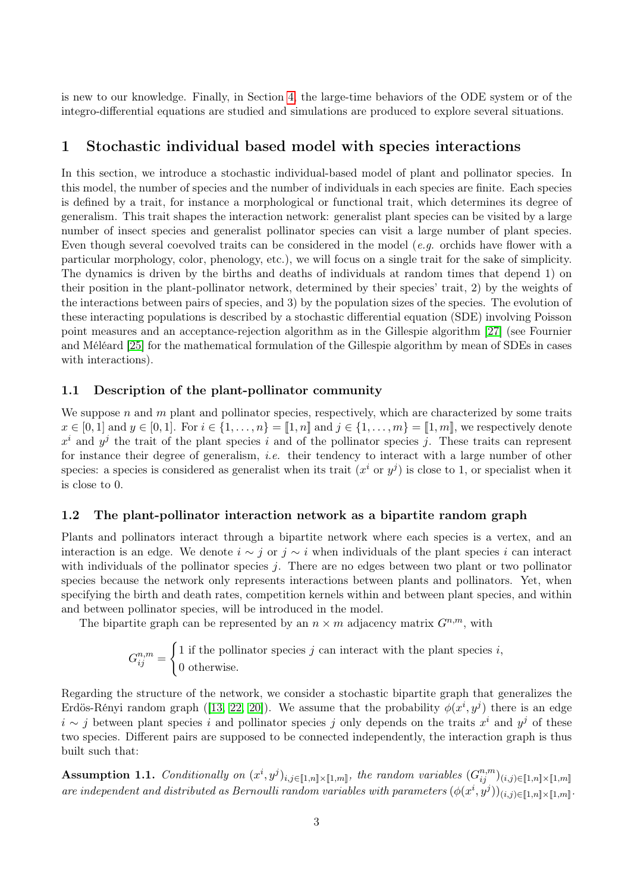is new to our knowledge. Finally, in Section 4, the large-time behaviors of the ODE system or of the integro-differential equations are studied and simulations are produced to explore several situations.

## 1 Stochastic individual based model with species interactions

In this section, we introduce a stochastic individual-based model of plant and pollinator species. In this model, the number of species and the number of individuals in each species are finite. Each species is defined by a trait, for instance a morphological or functional trait, which determines its degree of generalism. This trait shapes the interaction network: generalist plant species can be visited by a large number of insect species and generalist pollinator species can visit a large number of plant species. Even though several coevolved traits can be considered in the model (*e.g.* orchids have flower with a particular morphology, color, phenology, etc.), we will focus on a single trait for the sake of simplicity. The dynamics is driven by the births and deaths of individuals at random times that depend 1) on their position in the plant-pollinator network, determined by their species' trait, 2) by the weights of the interactions between pairs of species, and 3) by the population sizes of the species. The evolution of these interacting populations is described by a stochastic differential equation (SDE) involving Poisson point measures and an acceptance-rejection algorithm as in the Gillespie algorithm [27] (see Fournier and Méléard [25] for the mathematical formulation of the Gillespie algorithm by mean of SDEs in cases with interactions).

## 1.1 Description of the plant-pollinator community

We suppose n and m plant and pollinator species, respectively, which are characterized by some traits  $x \in [0,1]$  and  $y \in [0,1]$ . For  $i \in \{1,\ldots,n\} = [1,n]$  and  $j \in \{1,\ldots,m\} = [1,m]$ , we respectively denote  $x^i$  and  $y^j$  the trait of the plant species i and of the pollinator species j. These traits can represent for instance their degree of generalism, *i.e.* their tendency to interact with a large number of other species: a species is considered as generalist when its trait  $(x^i \text{ or } y^j)$  is close to 1, or specialist when it is close to 0.

## 1.2 The plant-pollinator interaction network as a bipartite random graph

Plants and pollinators interact through a bipartite network where each species is a vertex, and an interaction is an edge. We denote  $i \sim j$  or  $j \sim i$  when individuals of the plant species i can interact with individuals of the pollinator species  $j$ . There are no edges between two plant or two pollinator species because the network only represents interactions between plants and pollinators. Yet, when specifying the birth and death rates, competition kernels within and between plant species, and within and between pollinator species, will be introduced in the model.

The bipartite graph can be represented by an  $n \times m$  adjacency matrix  $G^{n,m}$ , with

$$
G_{ij}^{n,m} = \begin{cases} 1 \text{ if the pollinator species } j \text{ can interact with the plant species } i, \\ 0 \text{ otherwise.} \end{cases}
$$

Regarding the structure of the network, we consider a stochastic bipartite graph that generalizes the Erdös-Rényi random graph ([13, 22, 20]). We assume that the probability  $\phi(x^i, y^j)$  there is an edge  $i \sim j$  between plant species i and pollinator species j only depends on the traits  $x^i$  and  $y^j$  of these two species. Different pairs are supposed to be connected independently, the interaction graph is thus built such that:

Assumption 1.1. Conditionally on  $(x^i, y^j)_{i,j \in [\![1,n]\!] \times [\![1,m]\!]}$ , the random variables  $(G_{ij}^{n,m})_{(i,j) \in [\![1,n]\!] \times [\![1,m]\!]}$ are independent and distributed as Bernoulli random variables with parameters  $(\phi(x^i, y^j))_{(i,j)\in[\![1,n]\!]\times[\![1,m]\!]}.$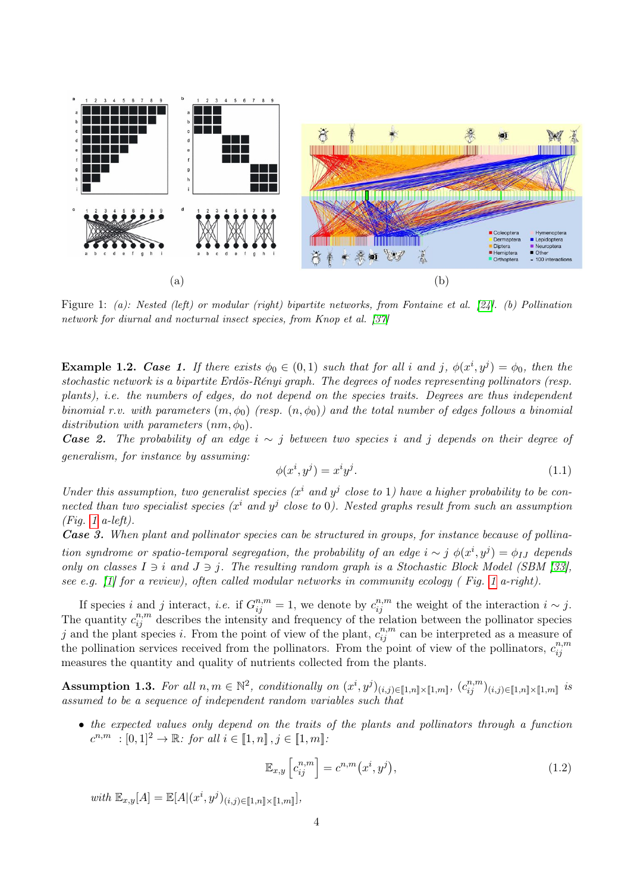

Figure 1: (a): Nested (left) or modular (right) bipartite networks, from Fontaine et al. [24]. (b) Pollination network for diurnal and nocturnal insect species, from Knop et al. [37]

**Example 1.2.** Case 1. If there exists  $\phi_0 \in (0,1)$  such that for all i and j,  $\phi(x^i, y^j) = \phi_0$ , then the stochastic network is a bipartite Erdös-Rényi graph. The degrees of nodes representing pollinators (resp. plants), i.e. the numbers of edges, do not depend on the species traits. Degrees are thus independent binomial r.v. with parameters  $(m, \phi_0)$  (resp.  $(n, \phi_0)$ ) and the total number of edges follows a binomial distribution with parameters  $(nm, \phi_0)$ .

**Case 2.** The probability of an edge  $i \sim j$  between two species i and j depends on their degree of generalism, for instance by assuming:

$$
\phi(x^i, y^j) = x^i y^j. \tag{1.1}
$$

Under this assumption, two generalist species ( $x^i$  and  $y^j$  close to 1) have a higher probability to be connected than two specialist species ( $x^i$  and  $y^j$  close to 0). Nested graphs result from such an assumption  $(Fia. 1 a-left).$ 

Case 3. When plant and pollinator species can be structured in groups, for instance because of pollination syndrome or spatio-temporal segregation, the probability of an edge  $i \sim j \phi(x^i, y^j) = \phi_{IJ}$  depends only on classes  $I \ni i$  and  $J \ni j$ . The resulting random graph is a Stochastic Block Model (SBM [33], see e.g. [1] for a review), often called modular networks in community ecology ( Fig. 1 a-right).

If species i and j interact, i.e. if  $G_{ij}^{n,m} = 1$ , we denote by  $c_{ij}^{n,m}$  the weight of the interaction  $i \sim j$ . The quantity  $c_{ij}^{n,m}$  describes the intensity and frequency of the relation between the pollinator species j and the plant species i. From the point of view of the plant,  $c_{ij}^{n,m}$  can be interpreted as a measure of the pollination services received from the pollinators. From the point of view of the pollinators,  $c_{ii}^{n,m}$ ij measures the quantity and quality of nutrients collected from the plants.

Assumption 1.3. For all  $n, m \in \mathbb{N}^2$ , conditionally on  $(x^i, y^j)_{(i,j) \in [\![1,n]\!] \times [\![1,m]\!]}, (c_{ij}^{n,m})_{(i,j) \in [\![1,n]\!] \times [\![1,m]\!]}$  is assumed to be a sequence of independent random variables such that

• the expected values only depend on the traits of the plants and pollinators through a function  $c^{n,m} : [0,1]^2 \to \mathbb{R}$ : for all  $i \in [1,n], j \in [1,m]$ .

$$
\mathbb{E}_{x,y}\left[c_{ij}^{n,m}\right] = c^{n,m}\left(x^i, y^j\right),\tag{1.2}
$$

with  $\mathbb{E}_{x,y}[A] = \mathbb{E}[A|(x^i, y^j)_{(i,j) \in [\![1,n]\!] \times [\![1,m]\!]}],$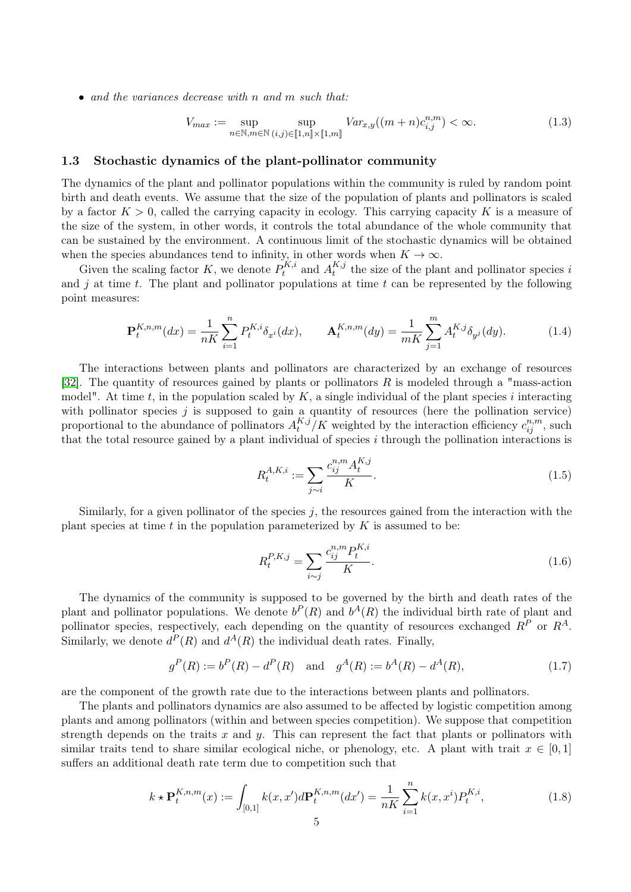• and the variances decrease with n and m such that:

$$
V_{max} := \sup_{n \in \mathbb{N}, m \in \mathbb{N}} \sup_{(i,j) \in [\![1,n]\!] \times [\![1,m]\!]} Var_{x,y}((m+n)c_{i,j}^{n,m}) < \infty. \tag{1.3}
$$

## 1.3 Stochastic dynamics of the plant-pollinator community

The dynamics of the plant and pollinator populations within the community is ruled by random point birth and death events. We assume that the size of the population of plants and pollinators is scaled by a factor  $K > 0$ , called the carrying capacity in ecology. This carrying capacity K is a measure of the size of the system, in other words, it controls the total abundance of the whole community that can be sustained by the environment. A continuous limit of the stochastic dynamics will be obtained when the species abundances tend to infinity, in other words when  $K \to \infty$ .

Given the scaling factor K, we denote  $P_t^{K,i}$  $A_t^{K,i}$  and  $A_t^{K,j}$  $t_t^{A,j}$  the size of the plant and pollinator species i and j at time t. The plant and pollinator populations at time t can be represented by the following point measures:

$$
\mathbf{P}_{t}^{K,n,m}(dx) = \frac{1}{nK} \sum_{i=1}^{n} P_{t}^{K,i} \delta_{x^{i}}(dx), \qquad \mathbf{A}_{t}^{K,n,m}(dy) = \frac{1}{mK} \sum_{j=1}^{m} A_{t}^{K,j} \delta_{y^{j}}(dy). \tag{1.4}
$$

The interactions between plants and pollinators are characterized by an exchange of resources [32]. The quantity of resources gained by plants or pollinators  $R$  is modeled through a "mass-action" model". At time t, in the population scaled by  $K$ , a single individual of the plant species i interacting with pollinator species  $j$  is supposed to gain a quantity of resources (here the pollination service) proportional to the abundance of pollinators  $A_t^{K,j}$  $_{t}^{K,j}/K$  weighted by the interaction efficiency  $c_{ij}^{n,m}$ , such that the total resource gained by a plant individual of species  $i$  through the pollination interactions is

$$
R_t^{A,K,i} := \sum_{j \sim i} \frac{c_{ij}^{n,m} A_t^{K,j}}{K}.
$$
\n(1.5)

Similarly, for a given pollinator of the species  $j$ , the resources gained from the interaction with the plant species at time  $t$  in the population parameterized by  $K$  is assumed to be:

$$
R_t^{P,K,j} = \sum_{i \sim j} \frac{c_{ij}^{n,m} P_t^{K,i}}{K}.
$$
\n(1.6)

The dynamics of the community is supposed to be governed by the birth and death rates of the plant and pollinator populations. We denote  $b^P(R)$  and  $b^A(R)$  the individual birth rate of plant and pollinator species, respectively, each depending on the quantity of resources exchanged  $R^P$  or  $R^A$ . Similarly, we denote  $d^P(R)$  and  $d^A(R)$  the individual death rates. Finally,

$$
g^{P}(R) := b^{P}(R) - d^{P}(R) \text{ and } g^{A}(R) := b^{A}(R) - d^{A}(R), \qquad (1.7)
$$

are the component of the growth rate due to the interactions between plants and pollinators.

The plants and pollinators dynamics are also assumed to be affected by logistic competition among plants and among pollinators (within and between species competition). We suppose that competition strength depends on the traits  $x$  and  $y$ . This can represent the fact that plants or pollinators with similar traits tend to share similar ecological niche, or phenology, etc. A plant with trait  $x \in [0,1]$ suffers an additional death rate term due to competition such that

$$
k \star \mathbf{P}_t^{K,n,m}(x) := \int_{[0,1]} k(x, x') d\mathbf{P}_t^{K,n,m}(dx') = \frac{1}{nK} \sum_{i=1}^n k(x, x^i) P_t^{K,i},
$$
(1.8)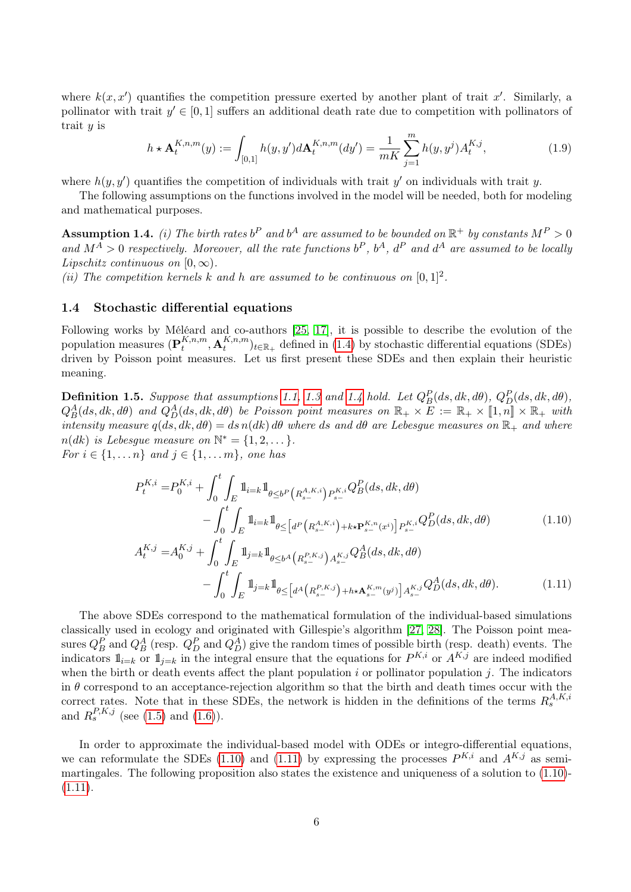where  $k(x, x')$  quantifies the competition pressure exerted by another plant of trait x'. Similarly, a pollinator with trait  $y' \in [0,1]$  suffers an additional death rate due to competition with pollinators of trait  $y$  is

$$
h \star \mathbf{A}_t^{K,n,m}(y) := \int_{[0,1]} h(y,y') d\mathbf{A}_t^{K,n,m}(dy') = \frac{1}{mK} \sum_{j=1}^m h(y,y^j) A_t^{K,j},\tag{1.9}
$$

where  $h(y, y')$  quantifies the competition of individuals with trait y' on individuals with trait y.

The following assumptions on the functions involved in the model will be needed, both for modeling and mathematical purposes.

**Assumption 1.4.** (i) The birth rates  $b^P$  and  $b^A$  are assumed to be bounded on  $\mathbb{R}^+$  by constants  $M^P > 0$ and  $M^A > 0$  respectively. Moreover, all the rate functions  $b^P$ ,  $b^A$ ,  $d^P$  and  $d^A$  are assumed to be locally Lipschitz continuous on  $[0, \infty)$ .

(ii) The competition kernels k and h are assumed to be continuous on  $[0,1]^2$ .

### 1.4 Stochastic differential equations

Following works by Méléard and co-authors [25, 17], it is possible to describe the evolution of the population measures  $(\mathbf{P}_t^{K,n,m})$  $_{t}^{K,n,m},\mathbf{A}_{t}^{K,n,m}$  $_{t}^{K,n,m}$ <sub>t</sub> $_{t\in\mathbb{R}_{+}}$  defined in (1.4) by stochastic differential equations (SDEs) driven by Poisson point measures. Let us first present these SDEs and then explain their heuristic meaning.

**Definition 1.5.** Suppose that assumptions 1.1, 1.3 and 1.4 hold. Let  $Q_B^P(ds, dk, d\theta)$ ,  $Q_D^P(ds, dk, d\theta)$ ,  $Q_B^A(ds, dk, d\theta)$  and  $Q_D^A(ds, dk, d\theta)$  be Poisson point measures on  $\mathbb{R}_+ \times \overline{E} := \mathbb{R}_+ \times [1, n] \times \mathbb{R}_+$  with intensity measure  $q(ds, dk, d\theta) = ds n(dk) d\theta$  where ds and  $d\theta$  are Lebesgue measures on  $\mathbb{R}_+$  and where  $n(dk)$  is Lebesgue measure on  $\mathbb{N}^* = \{1, 2, \dots\}.$ *For i* ∈ {1, ... *n*} and *j* ∈ {1, ... *m*}, one has

$$
P_{t}^{K,i} = P_{0}^{K,i} + \int_{0}^{t} \int_{E} \mathbb{1}_{i=k} \mathbb{1}_{\theta \leq b^{P}\left(R_{s-}^{A,K,i}\right) P_{s-}^{K,i}} Q_{B}^{P}(ds, dk, d\theta)
$$
  
- 
$$
\int_{0}^{t} \int_{E} \mathbb{1}_{i=k} \mathbb{1}_{\theta \leq \left[d^{P}\left(R_{s-}^{A,K,i}\right) + k\star \mathbf{P}_{s-}^{K,n}(x^{i})\right] P_{s-}^{K,i}} Q_{D}^{P}(ds, dk, d\theta)
$$
  

$$
A_{t}^{K,j} = A_{0}^{K,j} + \int_{0}^{t} \int_{E} \mathbb{1}_{j=k} \mathbb{1}_{\theta \leq b^{A}\left(R_{s-}^{P,K,j}\right) A_{s-}^{K,j}} Q_{B}^{A}(ds, dk, d\theta)
$$
  
- 
$$
\int_{0}^{t} \int_{E} \mathbb{1}_{j=k} \mathbb{1}_{\theta \leq \left[d^{A}\left(R_{s-}^{P,K,j}\right) + h\star \mathbf{A}_{s-}^{K,m}(y^{j})\right] A_{s-}^{K,j}} Q_{D}^{A}(ds, dk, d\theta).
$$
 (1.11)

The above SDEs correspond to the mathematical formulation of the individual-based simulations classically used in ecology and originated with Gillespie's algorithm [27, 28]. The Poisson point measures  $Q_B^P$  and  $Q_B^A$  (resp.  $Q_D^P$  and  $Q_D^A$ ) give the random times of possible birth (resp. death) events. The indicators  $\mathbb{1}_{i=k}$  or  $\mathbb{1}_{j=k}$  in the integral ensure that the equations for  $P^{K,i}$  or  $A^{K,j}$  are indeed modified when the birth or death events affect the plant population  $i$  or pollinator population  $j$ . The indicators in  $\theta$  correspond to an acceptance-rejection algorithm so that the birth and death times occur with the correct rates. Note that in these SDEs, the network is hidden in the definitions of the terms  $R_s^{A,K,i}$ and  $R_s^{P,K,j}$  (see (1.5) and (1.6)).

In order to approximate the individual-based model with ODEs or integro-differential equations, we can reformulate the SDEs (1.10) and (1.11) by expressing the processes  $P^{K,i}$  and  $A^{K,j}$  as semimartingales. The following proposition also states the existence and uniqueness of a solution to (1.10)-  $(1.11).$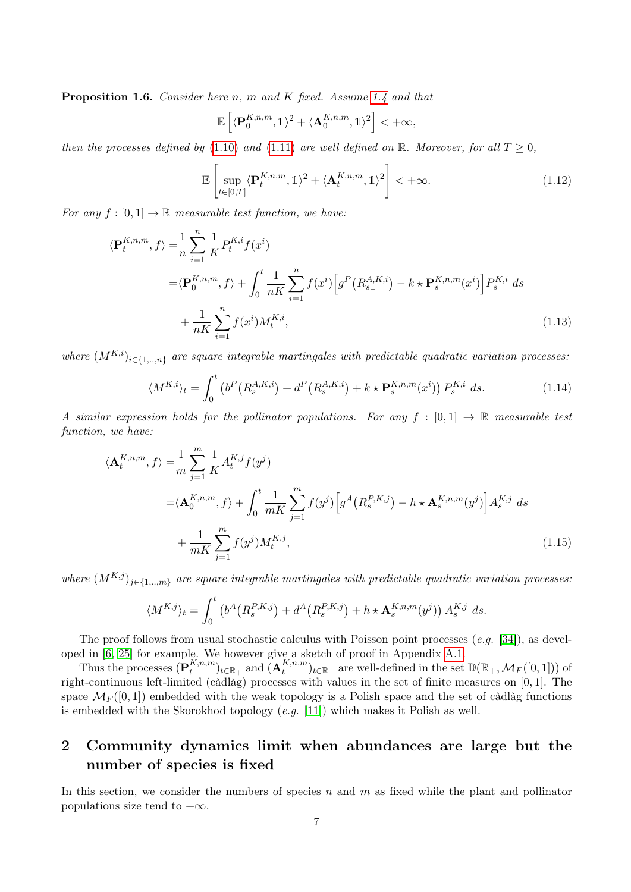**Proposition 1.6.** Consider here n, m and K fixed. Assume 1.4 and that

$$
\mathbb{E}\left[\langle \mathbf{P}_0^{K,n,m},1\rangle^2+\langle \mathbf{A}_0^{K,n,m},1\rangle^2\right]<+\infty,
$$

then the processes defined by (1.10) and (1.11) are well defined on R. Moreover, for all  $T \geq 0$ ,

$$
\mathbb{E}\left[\sup_{t\in[0,T]} \langle \mathbf{P}_t^{K,n,m}, \mathbb{1}\rangle^2 + \langle \mathbf{A}_t^{K,n,m}, \mathbb{1}\rangle^2\right] < +\infty.
$$
\n(1.12)

For any  $f : [0, 1] \to \mathbb{R}$  measurable test function, we have:

$$
\langle \mathbf{P}_{t}^{K,n,m}, f \rangle = \frac{1}{n} \sum_{i=1}^{n} \frac{1}{K} P_{t}^{K,i} f(x^{i})
$$
  

$$
= \langle \mathbf{P}_{0}^{K,n,m}, f \rangle + \int_{0}^{t} \frac{1}{nK} \sum_{i=1}^{n} f(x^{i}) \Big[ g^{P} \big( R_{s-}^{A,K,i} \big) - k \star \mathbf{P}_{s}^{K,n,m}(x^{i}) \Big] P_{s}^{K,i} ds
$$
  

$$
+ \frac{1}{nK} \sum_{i=1}^{n} f(x^{i}) M_{t}^{K,i}, \qquad (1.13)
$$

where  $(M^{K,i})_{i\in\{1,\ldots,n\}}$  are square integrable martingales with predictable quadratic variation processes:

$$
\langle M^{K,i} \rangle_t = \int_0^t \left( b^P \left( R_s^{A,K,i} \right) + d^P \left( R_s^{A,K,i} \right) + k \star \mathbf{P}_s^{K,n,m}(x^i) \right) P_s^{K,i} ds. \tag{1.14}
$$

A similar expression holds for the pollinator populations. For any  $f : [0,1] \to \mathbb{R}$  measurable test function, we have:

$$
\langle \mathbf{A}_{t}^{K,n,m}, f \rangle = \frac{1}{m} \sum_{j=1}^{m} \frac{1}{K} A_{t}^{K,j} f(y^{j})
$$
  

$$
= \langle \mathbf{A}_{0}^{K,n,m}, f \rangle + \int_{0}^{t} \frac{1}{mK} \sum_{j=1}^{m} f(y^{j}) \Big[ g^{A} \big( R_{s-}^{P,K,j} \big) - h \star \mathbf{A}_{s}^{K,n,m}(y^{j}) \Big] A_{s}^{K,j} ds
$$
  

$$
+ \frac{1}{mK} \sum_{j=1}^{m} f(y^{j}) M_{t}^{K,j}, \qquad (1.15)
$$

where  $(M^{K,j})_{j\in\{1,\ldots,m\}}$  are square integrable martingales with predictable quadratic variation processes:

$$
\langle M^{K,j} \rangle_t = \int_0^t \left( b^A \big( R_s^{P,K,j} \big) + d^A \big( R_s^{P,K,j} \big) + h \star \mathbf{A}_s^{K,n,m}(y^j) \right) A_s^{K,j} ds.
$$

The proof follows from usual stochastic calculus with Poisson point processes  $(e,q, [34])$ , as developed in [6, 25] for example. We however give a sketch of proof in Appendix A.1.

Thus the processes  $(\mathbf{P}_t^{K,n,m})$  $_{t}^{K,n,m}$ <sub> $)_{t\in\mathbb{R}_{+}}$  and  $(\mathbf{A}_{t}^{K,n,m})$ </sub>  $_{t}^{K,n,m}$ <sub>t</sub> $_{t\in\mathbb{R}_{+}}$  are well-defined in the set  $\mathbb{D}(\mathbb{R}_{+},\mathcal{M}_{F}([0,1]))$  of right-continuous left-limited (càdlàg) processes with values in the set of finite measures on [0, 1]. The space  $\mathcal{M}_F([0,1])$  embedded with the weak topology is a Polish space and the set of càdlàg functions is embedded with the Skorokhod topology  $(e.g. [11])$  which makes it Polish as well.

## 2 Community dynamics limit when abundances are large but the number of species is fixed

In this section, we consider the numbers of species n and m as fixed while the plant and pollinator populations size tend to  $+\infty$ .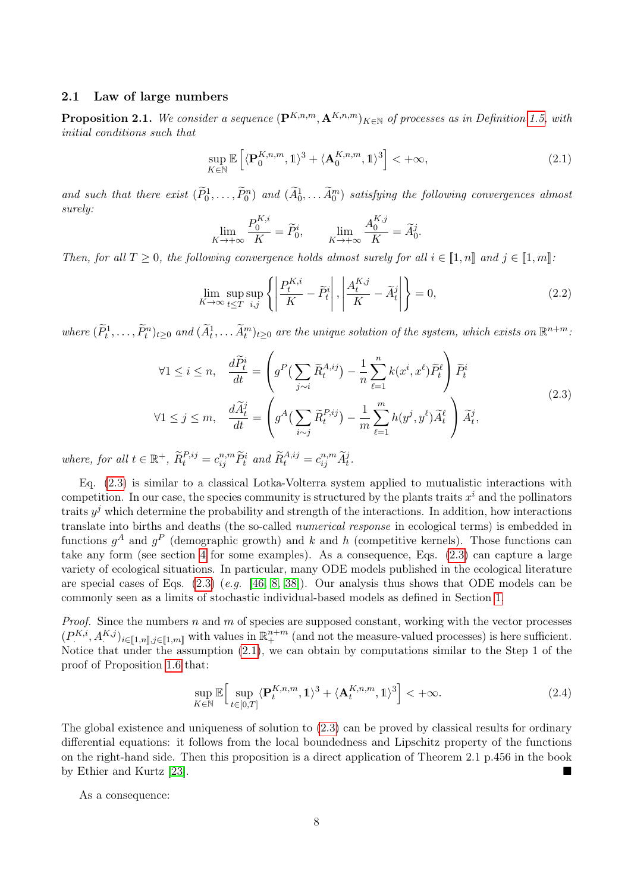### 2.1 Law of large numbers

**Proposition 2.1.** We consider a sequence  $(\mathbf{P}^{K,n,m}, \mathbf{A}^{K,n,m})_{K \in \mathbb{N}}$  of processes as in Definition 1.5, with initial conditions such that

$$
\sup_{K \in \mathbb{N}} \mathbb{E}\left[ \langle \mathbf{P}_0^{K,n,m}, \mathbb{1} \rangle^3 + \langle \mathbf{A}_0^{K,n,m}, \mathbb{1} \rangle^3 \right] < +\infty,\tag{2.1}
$$

and such that there exist  $(\tilde{P}_0^1,\ldots,\tilde{P}_0^n)$  and  $(\tilde{A}_0^1,\ldots,\tilde{A}_0^m)$  satisfying the following convergences almost surely:

$$
\lim_{K \to +\infty} \frac{P_0^{K,i}}{K} = \widetilde{P}_0^i, \qquad \lim_{K \to +\infty} \frac{A_0^{K,j}}{K} = \widetilde{A}_0^j.
$$

Then, for all  $T \geq 0$ , the following convergence holds almost surely for all  $i \in [1, n]$  and  $j \in [1, m]$ :

$$
\lim_{K \to \infty} \sup_{t \le T} \sup_{i,j} \left\{ \left| \frac{P_t^{K,i}}{K} - \widetilde{P}_t^i \right|, \left| \frac{A_t^{K,j}}{K} - \widetilde{A}_t^j \right| \right\} = 0,
$$
\n(2.2)

where  $(\widetilde{P}_t^1,\ldots,\widetilde{P}_t^n)_{t\geq 0}$  and  $(\widetilde{A}_t^1,\ldots,\widetilde{A}_t^m)_{t\geq 0}$  are the unique solution of the system, which exists on  $\mathbb{R}^{n+m}$ .

$$
\forall 1 \leq i \leq n, \quad \frac{d\widetilde{P}_t^i}{dt} = \left( g^P \left( \sum_{j \sim i} \widetilde{R}_t^{A,ij} \right) - \frac{1}{n} \sum_{\ell=1}^n k(x^i, x^\ell) \widetilde{P}_t^{\ell} \right) \widetilde{P}_t^i
$$
\n
$$
\forall 1 \leq j \leq m, \quad \frac{d\widetilde{A}_t^j}{dt} = \left( g^A \left( \sum_{i \sim j} \widetilde{R}_t^{P,ij} \right) - \frac{1}{m} \sum_{\ell=1}^m h(y^j, y^\ell) \widetilde{A}_t^{\ell} \right) \widetilde{A}_t^j,
$$
\n(2.3)

where, for all  $t \in \mathbb{R}^+$ ,  $\widetilde{R}^{P,ij}_t = c^{n,m}_{ij} \widetilde{P}^i_t$  and  $\widetilde{R}^{A,ij}_t = c^{n,m}_{ij} \widetilde{A}^j_t$ .

Eq. (2.3) is similar to a classical Lotka-Volterra system applied to mutualistic interactions with competition. In our case, the species community is structured by the plants traits  $x^i$  and the pollinators traits  $y^j$  which determine the probability and strength of the interactions. In addition, how interactions translate into births and deaths (the so-called numerical response in ecological terms) is embedded in functions  $g^A$  and  $g^P$  (demographic growth) and k and h (competitive kernels). Those functions can take any form (see section 4 for some examples). As a consequence, Eqs. (2.3) can capture a large variety of ecological situations. In particular, many ODE models published in the ecological literature are special cases of Eqs.  $(2.3)$  (e.g. [46, 8, 38]). Our analysis thus shows that ODE models can be commonly seen as a limits of stochastic individual-based models as defined in Section 1.

*Proof.* Since the numbers  $n$  and  $m$  of species are supposed constant, working with the vector processes  $(P^{K,i}_\cdot, A^{K,j}_\cdot)_{i \in [\![1,n]\!], j \in [\![1,m]\!]}$  with values in  $\mathbb{R}^{n+m}_+$  (and not the measure-valued processes) is here sufficient. Notice that under the assumption (2.1), we can obtain by computations similar to the Step 1 of the proof of Proposition 1.6 that:

$$
\sup_{K \in \mathbb{N}} \mathbb{E} \Big[ \sup_{t \in [0,T]} \langle \mathbf{P}_t^{K,n,m}, \mathbb{1} \rangle^3 + \langle \mathbf{A}_t^{K,n,m}, \mathbb{1} \rangle^3 \Big] < +\infty. \tag{2.4}
$$

The global existence and uniqueness of solution to (2.3) can be proved by classical results for ordinary differential equations: it follows from the local boundedness and Lipschitz property of the functions on the right-hand side. Then this proposition is a direct application of Theorem 2.1 p.456 in the book by Ethier and Kurtz [23].

As a consequence: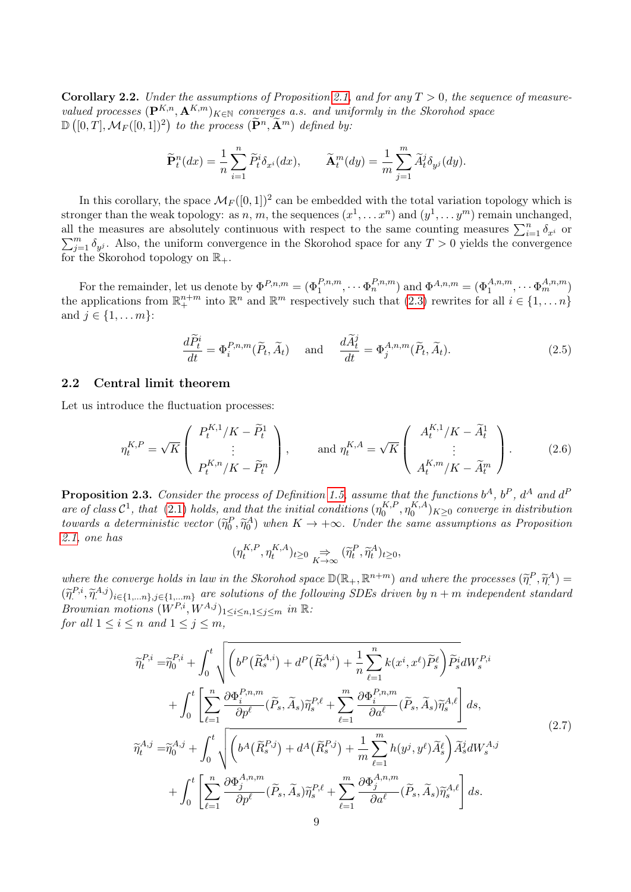**Corollary 2.2.** Under the assumptions of Proposition 2.1, and for any  $T > 0$ , the sequence of measurevalued processes  $(\mathbf{P}^{K,n}, \mathbf{A}^{K,m})_{K \in \mathbb{N}}$  converges a.s. and uniformly in the Skorohod space  $\mathbb{D}\left([0,T],\mathcal{M}_F([0,1])^2\right)$  to the process  $(\widetilde{\mathbf{P}}^n,\widetilde{\mathbf{A}}^m)$  defined by:

$$
\widetilde{\mathbf{P}}_t^n(dx) = \frac{1}{n} \sum_{i=1}^n \widetilde{P}_t^i \delta_{x^i}(dx), \qquad \widetilde{\mathbf{A}}_t^m(dy) = \frac{1}{m} \sum_{j=1}^m \widetilde{A}_t^j \delta_{y^j}(dy).
$$

In this corollary, the space  $\mathcal{M}_{F}([0,1])^{2}$  can be embedded with the total variation topology which is stronger than the weak topology: as n, m, the sequences  $(x^1, \ldots x^n)$  and  $(y^1, \ldots y^m)$  remain unchanged, all the measures are absolutely continuous with respect to the same counting measures  $\sum_{i=1}^{n} \delta_i$ all the measures are absolutely continuous with respect to the same counting measures  $\sum_{i=1}^{n} \delta_{x_i}$  or  $\sum_{j=1}^{m} \delta_{y_j}$ . Also, the uniform convergence in the Skorohod space for any  $T > 0$  yields the convergence for the Skorohod topology on  $\mathbb{R}_+$ .

For the remainder, let us denote by  $\Phi^{P,n,m} = (\Phi_1^{P,n,m}, \cdots \Phi_n^{P,n,m})$  and  $\Phi^{A,n,m} = (\Phi_1^{A,n,m}, \cdots \Phi_m^{A,n,m})$ the applications from  $\mathbb{R}^{n+m}$  into  $\mathbb{R}^n$  and  $\mathbb{R}^m$  respectively such that  $(2.3)$  rewrites for all  $i \in \{1, \ldots n\}$ and  $j \in \{1, ..., m\}$ :

$$
\frac{d\widetilde{P}_t^i}{dt} = \Phi_i^{P,n,m}(\widetilde{P}_t, \widetilde{A}_t) \quad \text{and} \quad \frac{d\widetilde{A}_t^j}{dt} = \Phi_j^{A,n,m}(\widetilde{P}_t, \widetilde{A}_t). \tag{2.5}
$$

### 2.2 Central limit theorem

Let us introduce the fluctuation processes:

$$
\eta_t^{K,P} = \sqrt{K} \begin{pmatrix} P_t^{K,1}/K - \widetilde{P}_t^1 \\ \vdots \\ P_t^{K,n}/K - \widetilde{P}_t^n \end{pmatrix}, \quad \text{and } \eta_t^{K,A} = \sqrt{K} \begin{pmatrix} A_t^{K,1}/K - \widetilde{A}_t^1 \\ \vdots \\ A_t^{K,m}/K - \widetilde{A}_t^m \end{pmatrix}.
$$
 (2.6)

**Proposition 2.3.** Consider the process of Definition 1.5, assume that the functions  $b^A$ ,  $b^P$ ,  $d^A$  and  $d^F$ are of class  $C^1$ , that (2.1) holds, and that the initial conditions  $(\eta_0^{K,F})$  $\eta_0^{K,P},\eta_0^{K,A}$  $\binom{K,A}{0}$  $K \geq 0$  converge in distribution towards a deterministic vector  $(\widetilde{\eta}_0^P, \widetilde{\eta}_0^A)$  when  $K \to +\infty$ . Under the same assumptions as Proposition 2.1, one has

$$
(\eta^{K,P}_t,\eta^{K,A}_t)_{t\geq 0}\underset{K\to\infty}{\Rightarrow}(\widetilde{\eta}^P_t,\widetilde{\eta}^A_t)_{t\geq 0},
$$

where the converge holds in law in the Skorohod space  $\mathbb{D}(\mathbb{R}_+, \mathbb{R}^{n+m})$  and where the processes  $(\tilde{\eta}^P, \tilde{\eta}^A) =$ <br> $(\tilde{\kappa}^P, \tilde{\kappa}^A, \tilde{\kappa}^A)$  $(\widetilde{\eta}^{P,i}, \widetilde{\eta}^{A,j})_{i \in \{1,...n\}, j \in \{1,...m\}}$  are solutions of the following SDEs driven by  $n + m$  independent standard Brownian motions  $(W^{P,i}, W^{A,j})_{1 \leq i \leq n, 1 \leq j \leq m}$  in  $\mathbb{R}$ : for all  $1 \leq i \leq n$  and  $1 \leq j \leq m$ ,

$$
\widetilde{\eta}_{t}^{P,i} = \widetilde{\eta}_{0}^{P,i} + \int_{0}^{t} \sqrt{\left(b^{P}(\widetilde{R}_{s}^{A,i}) + d^{P}(\widetilde{R}_{s}^{A,i}) + \frac{1}{n} \sum_{\ell=1}^{n} k(x^{i}, x^{\ell}) \widetilde{P}_{s}^{\ell}\right) \widetilde{P}_{s}^{i}} dW_{s}^{P,i} \n+ \int_{0}^{t} \left[\sum_{\ell=1}^{n} \frac{\partial \Phi_{i}^{P,n,m}}{\partial p^{\ell}} (\widetilde{P}_{s}, \widetilde{A}_{s}) \widetilde{\eta}_{s}^{P,\ell} + \sum_{\ell=1}^{m} \frac{\partial \Phi_{i}^{P,n,m}}{\partial a^{\ell}} (\widetilde{P}_{s}, \widetilde{A}_{s}) \widetilde{\eta}_{s}^{A,\ell}\right] ds, \n\widetilde{\eta}_{t}^{A,j} = \widetilde{\eta}_{0}^{A,j} + \int_{0}^{t} \sqrt{\left(b^{A}(\widetilde{R}_{s}^{P,j}) + d^{A}(\widetilde{R}_{s}^{P,j}) + \frac{1}{m} \sum_{\ell=1}^{m} h(y^{j}, y^{\ell}) \widetilde{A}_{s}^{\ell}\right) \widetilde{A}_{s}^{j}} dW_{s}^{A,j} \n+ \int_{0}^{t} \left[\sum_{\ell=1}^{n} \frac{\partial \Phi_{j}^{A,n,m}}{\partial p^{\ell}} (\widetilde{P}_{s}, \widetilde{A}_{s}) \widetilde{\eta}_{s}^{P,\ell} + \sum_{\ell=1}^{m} \frac{\partial \Phi_{j}^{A,n,m}}{\partial a^{\ell}} (\widetilde{P}_{s}, \widetilde{A}_{s}) \widetilde{\eta}_{s}^{A,\ell}\right] ds.
$$
\n(2.7)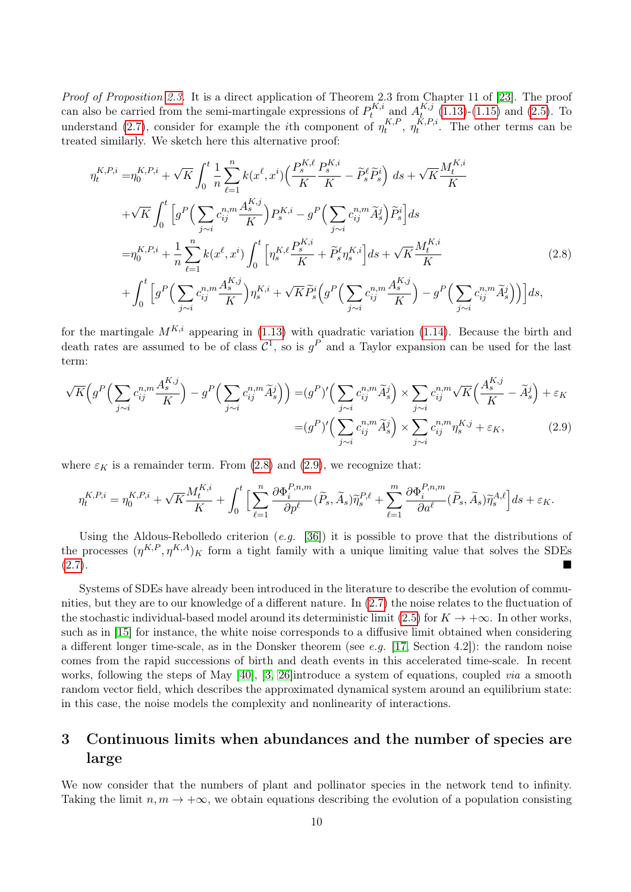Proof of Proposition 2.3. It is a direct application of Theorem 2.3 from Chapter 11 of [23]. The proof can also be carried from the semi-martingale expressions of  $P_t^{K,i}$  $A_t^{K,i}$  and  $A_t^{K,j}$  $_{t_{\infty}}^{R,j}$  (1.13)-(1.15) and (2.5). To understand (2.7), consider for example the *i*th component of  $\eta_t^{K,F}$  $\eta_t^{K,P},\ \eta_t^{K,P,i}$  $t_t^{R,r,i}$ . The other terms can be treated similarly. We sketch here this alternative proof:

$$
\eta_{t}^{K,P,i} = \eta_{0}^{K,P,i} + \sqrt{K} \int_{0}^{t} \frac{1}{n} \sum_{\ell=1}^{n} k(x^{\ell}, x^{i}) \Big( \frac{P_{s}^{K,\ell}}{K} \frac{P_{s}^{K,i}}{K} - \tilde{P}_{s}^{\ell} \tilde{P}_{s}^{i} \Big) ds + \sqrt{K} \frac{M_{t}^{K,i}}{K} \n+ \sqrt{K} \int_{0}^{t} \Big[ g^{P} \Big( \sum_{j \sim i} c_{ij}^{n,m} \frac{A_{s}^{K,j}}{K} \Big) P_{s}^{K,i} - g^{P} \Big( \sum_{j \sim i} c_{ij}^{n,m} \tilde{A}_{s}^{j} \Big) \tilde{P}_{s}^{i} \Big] ds \n= \eta_{0}^{K,P,i} + \frac{1}{n} \sum_{\ell=1}^{n} k(x^{\ell}, x^{i}) \int_{0}^{t} \Big[ \eta_{s}^{K,\ell} \frac{P_{s}^{K,i}}{K} + \tilde{P}_{s}^{\ell} \eta_{s}^{K,i} \Big] ds + \sqrt{K} \frac{M_{t}^{K,i}}{K} \n+ \int_{0}^{t} \Big[ g^{P} \Big( \sum_{j \sim i} c_{ij}^{n,m} \frac{A_{s}^{K,j}}{K} \Big) \eta_{s}^{K,i} + \sqrt{K} \tilde{P}_{s}^{i} \Big( g^{P} \Big( \sum_{j \sim i} c_{ij}^{n,m} \frac{A_{s}^{K,j}}{K} \Big) - g^{P} \Big( \sum_{j \sim i} c_{ij}^{n,m} \tilde{A}_{s}^{j} \Big) \Big) \Big] ds,
$$
\n(2.8)

for the martingale  $M^{K,i}$  appearing in (1.13) with quadratic variation (1.14). Because the birth and death rates are assumed to be of class  $\mathcal{C}^1$ , so is  $g^P$  and a Taylor expansion can be used for the last term:

$$
\sqrt{K}\Big(g^P\Big(\sum_{j\sim i}c_{ij}^{n,m}\frac{A_s^{K,j}}{K}\Big) - g^P\Big(\sum_{j\sim i}c_{ij}^{n,m}\widetilde{A}_s^j\Big)\Big) = (g^P)' \Big(\sum_{j\sim i}c_{ij}^{n,m}\widetilde{A}_s^j\Big) \times \sum_{j\sim i}c_{ij}^{n,m}\sqrt{K}\Big(\frac{A_s^{K,j}}{K} - \widetilde{A}_s^j\Big) + \varepsilon_K
$$

$$
= (g^P)' \Big(\sum_{j\sim i}c_{ij}^{n,m}\widetilde{A}_s^j\Big) \times \sum_{j\sim i}c_{ij}^{n,m}\eta_s^{K,j} + \varepsilon_K,
$$
(2.9)

where  $\varepsilon_K$  is a remainder term. From (2.8) and (2.9), we recognize that:

$$
\eta_t^{K,P,i} = \eta_0^{K,P,i} + \sqrt{K} \frac{M_t^{K,i}}{K} + \int_0^t \Big[ \sum_{\ell=1}^n \frac{\partial \Phi_i^{P,n,m}}{\partial p^{\ell}} (\widetilde{P}_s, \widetilde{A}_s) \widetilde{\eta}_s^{P,\ell} + \sum_{\ell=1}^m \frac{\partial \Phi_i^{P,n,m}}{\partial a^{\ell}} (\widetilde{P}_s, \widetilde{A}_s) \widetilde{\eta}_s^{A,\ell} \Big] ds + \varepsilon_K.
$$

Using the Aldous-Rebolledo criterion  $(e.g. [36])$  it is possible to prove that the distributions of the processes  $(\eta^{K,P}, \eta^{K,A})_K$  form a tight family with a unique limiting value that solves the SDEs (2.7).

Systems of SDEs have already been introduced in the literature to describe the evolution of communities, but they are to our knowledge of a different nature. In (2.7) the noise relates to the fluctuation of the stochastic individual-based model around its deterministic limit (2.5) for  $K \to +\infty$ . In other works, such as in [15] for instance, the white noise corresponds to a diffusive limit obtained when considering a different longer time-scale, as in the Donsker theorem (see e.g. [17, Section 4.2]): the random noise comes from the rapid successions of birth and death events in this accelerated time-scale. In recent works, following the steps of May [40], [3, 26]introduce a system of equations, coupled *via* a smooth random vector field, which describes the approximated dynamical system around an equilibrium state: in this case, the noise models the complexity and nonlinearity of interactions.

## 3 Continuous limits when abundances and the number of species are large

We now consider that the numbers of plant and pollinator species in the network tend to infinity. Taking the limit  $n, m \to +\infty$ , we obtain equations describing the evolution of a population consisting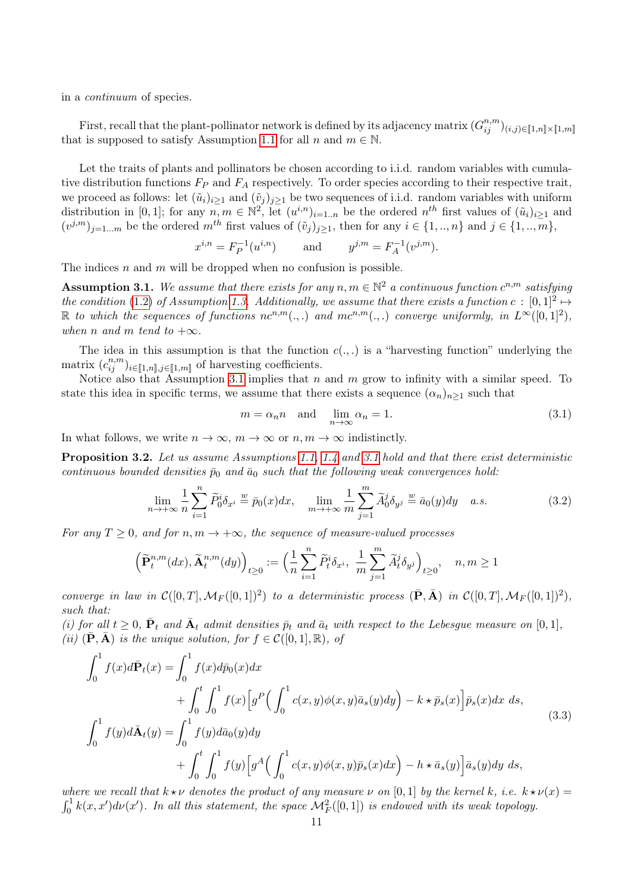in a continuum of species.

First, recall that the plant-pollinator network is defined by its adjacency matrix  $(G_{ij}^{n,m})_{(i,j)\in [\![1,m]\!] \times [\![1,m]\!]}$ that is supposed to satisfy Assumption 1.1 for all n and  $m \in \mathbb{N}$ .

Let the traits of plants and pollinators be chosen according to i.i.d. random variables with cumulative distribution functions  $F_P$  and  $F_A$  respectively. To order species according to their respective trait, we proceed as follows: let  $(\tilde{u}_i)_{i\geq 1}$  and  $(\tilde{v}_j)_{j\geq 1}$  be two sequences of i.i.d. random variables with uniform distribution in [0, 1]; for any  $n, m \in \mathbb{N}^2$ , let  $(u^{i,n})_{i=1..n}$  be the ordered  $n^{th}$  first values of  $(\tilde{u}_i)_{i\geq 1}$  and  $(v^{j,m})_{j=1...m}$  be the ordered  $m^{th}$  first values of  $(\tilde{v}_j)_{j\geq 1}$ , then for any  $i \in \{1,..,n\}$  and  $j \in \{1,..,m\}$ ,

$$
x^{i,n} = F_P^{-1}(u^{i,n})
$$
 and  $y^{j,m} = F_A^{-1}(v^{j,m}).$ 

The indices  $n$  and  $m$  will be dropped when no confusion is possible.

**Assumption 3.1.** We assume that there exists for any  $n, m \in \mathbb{N}^2$  a continuous function  $c^{n,m}$  satisfying the condition (1.2) of Assumption 1.3. Additionally, we assume that there exists a function  $c : [0,1]^2 \mapsto$ R to which the sequences of functions  $nc^{n,m}(.,.)$  and  $mc^{n,m}(.,.)$  converge uniformly, in  $L^{\infty}([0,1]^2)$ , when n and m tend to  $+\infty$ .

The idea in this assumption is that the function  $c(.,.)$  is a "harvesting function" underlying the matrix  $(c_{ij}^{n,m})_{i \in [\![1,n]\!], j \in [\![1,m]\!]}$  of harvesting coefficients.

Notice also that Assumption 3.1 implies that  $n$  and  $m$  grow to infinity with a similar speed. To state this idea in specific terms, we assume that there exists a sequence  $(\alpha_n)_{n>1}$  such that

$$
m = \alpha_n n \quad \text{and} \quad \lim_{n \to \infty} \alpha_n = 1. \tag{3.1}
$$

In what follows, we write  $n \to \infty$ ,  $m \to \infty$  or  $n, m \to \infty$  indistinctly.

**Proposition 3.2.** Let us assume Assumptions 1.1, 1.4 and 3.1 hold and that there exist deterministic continuous bounded densities  $\bar{p}_0$  and  $\bar{a}_0$  such that the following weak convergences hold:

$$
\lim_{n \to +\infty} \frac{1}{n} \sum_{i=1}^{n} \widetilde{P}_0^i \delta_{x^i} \stackrel{w}{=} \bar{p}_0(x) dx, \quad \lim_{m \to +\infty} \frac{1}{m} \sum_{j=1}^{m} \widetilde{A}_0^j \delta_{y^j} \stackrel{w}{=} \bar{a}_0(y) dy \quad a.s.
$$
\n(3.2)

For any  $T \geq 0$ , and for  $n, m \to +\infty$ , the sequence of measure-valued processes

$$
\left(\widetilde{\mathbf{P}}^{n,m}_t(dx),\widetilde{\mathbf{A}}^{n,m}_t(dy)\right)_{t\geq 0}:=\Big(\frac{1}{n}\sum_{i=1}^n\widetilde{P}^i_t\delta_{x^i},~\frac{1}{m}\sum_{j=1}^m\widetilde{A}^j_t\delta_{y^j}\Big)_{t\geq 0},\quad n,m\geq 1
$$

converge in law in  $\mathcal{C}([0,T], \mathcal{M}_F([0,1])^2)$  to a deterministic process  $(\bar{\mathbf{P}}, \bar{\mathbf{A}})$  in  $\mathcal{C}([0,T], \mathcal{M}_F([0,1])^2)$ , such that:

(i) for all  $t \geq 0$ ,  $\bar{P}_t$  and  $\bar{A}_t$  admit densities  $\bar{p}_t$  and  $\bar{a}_t$  with respect to the Lebesgue measure on [0, 1], (ii)  $(\bar{P}, \bar{A})$  is the unique solution, for  $f \in \mathcal{C}([0,1], \mathbb{R})$ , of

$$
\int_{0}^{1} f(x)d\bar{P}_{t}(x) = \int_{0}^{1} f(x)d\bar{p}_{0}(x)dx \n+ \int_{0}^{t} \int_{0}^{1} f(x)\left[g^{P}\left(\int_{0}^{1} c(x,y)\phi(x,y)\bar{a}_{s}(y)dy\right) - k \star \bar{p}_{s}(x)\right]\bar{p}_{s}(x)dx ds, \n\int_{0}^{1} f(y)d\bar{A}_{t}(y) = \int_{0}^{1} f(y)d\bar{a}_{0}(y)dy \n+ \int_{0}^{t} \int_{0}^{1} f(y)\left[g^{A}\left(\int_{0}^{1} c(x,y)\phi(x,y)\bar{p}_{s}(x)dx\right) - h \star \bar{a}_{s}(y)\right]\bar{a}_{s}(y)dy ds,
$$
\n(3.3)

where we recall that  $k \star \nu$  denotes the product of any measure  $\nu$  on [0,1] by the kernel k, i.e.  $k \star \nu(x) =$  $\int_0^1 k(x, x') d\nu(x')$ . In all this statement, the space  $\mathcal{M}^2_F([0, 1])$  is endowed with its weak topology.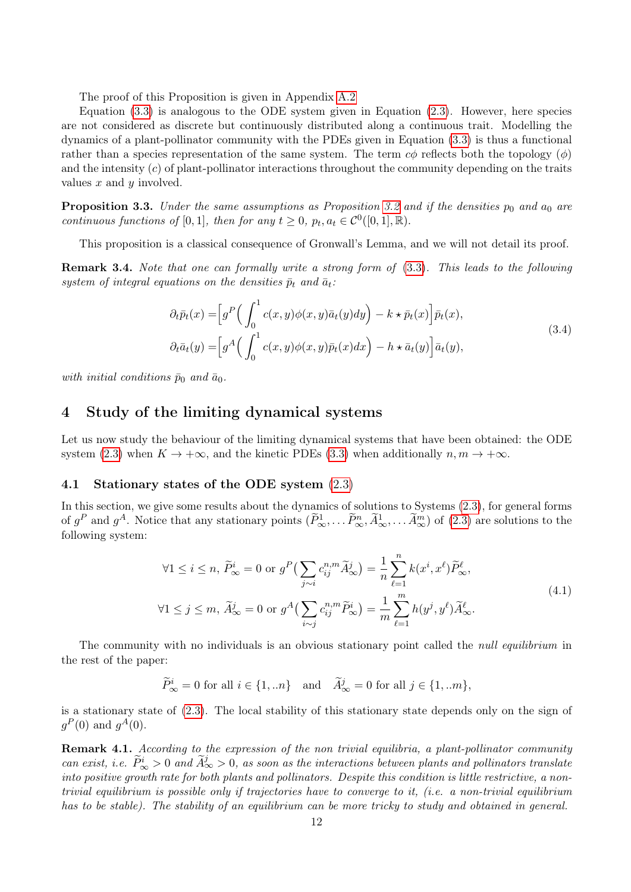The proof of this Proposition is given in Appendix A.2

Equation  $(3.3)$  is analogous to the ODE system given in Equation  $(2.3)$ . However, here species are not considered as discrete but continuously distributed along a continuous trait. Modelling the dynamics of a plant-pollinator community with the PDEs given in Equation (3.3) is thus a functional rather than a species representation of the same system. The term  $c\phi$  reflects both the topology  $(\phi)$ and the intensity  $(c)$  of plant-pollinator interactions throughout the community depending on the traits values  $x$  and  $y$  involved.

**Proposition 3.3.** Under the same assumptions as Proposition 3.2 and if the densities  $p_0$  and  $a_0$  are continuous functions of [0, 1], then for any  $t \geq 0$ ,  $p_t, a_t \in C^0([0,1], \mathbb{R})$ .

This proposition is a classical consequence of Gronwall's Lemma, and we will not detail its proof.

**Remark 3.4.** Note that one can formally write a strong form of  $(3.3)$ . This leads to the following system of integral equations on the densities  $\bar{p}_t$  and  $\bar{a}_t$ :

$$
\partial_t \bar{p}_t(x) = \left[ g^P \left( \int_0^1 c(x, y) \phi(x, y) \bar{a}_t(y) dy \right) - k \star \bar{p}_t(x) \right] \bar{p}_t(x),
$$
  
\n
$$
\partial_t \bar{a}_t(y) = \left[ g^A \left( \int_0^1 c(x, y) \phi(x, y) \bar{p}_t(x) dx \right) - h \star \bar{a}_t(y) \right] \bar{a}_t(y),
$$
\n(3.4)

with initial conditions  $\bar{p}_0$  and  $\bar{a}_0$ .

## 4 Study of the limiting dynamical systems

Let us now study the behaviour of the limiting dynamical systems that have been obtained: the ODE system (2.3) when  $K \to +\infty$ , and the kinetic PDEs (3.3) when additionally  $n, m \to +\infty$ .

## 4.1 Stationary states of the ODE system (2.3)

In this section, we give some results about the dynamics of solutions to Systems (2.3), for general forms of  $g^P$  and  $g^A$ . Notice that any stationary points  $(\tilde{P}_{\infty}^1, \ldots, \tilde{P}_{\infty}^n, \tilde{A}_{\infty}^1, \ldots, \tilde{A}_{\infty}^m)$  of  $(2.3)$  are solutions to the following system:

$$
\forall 1 \leq i \leq n, \ \widetilde{P}_{\infty}^{i} = 0 \text{ or } g^{P}\left(\sum_{j \sim i} c_{ij}^{n,m} \widetilde{A}_{\infty}^{j}\right) = \frac{1}{n} \sum_{\ell=1}^{n} k(x^{i}, x^{\ell}) \widetilde{P}_{\infty}^{\ell},
$$
  

$$
\forall 1 \leq j \leq m, \ \widetilde{A}_{\infty}^{j} = 0 \text{ or } g^{A}\left(\sum_{i \sim j} c_{ij}^{n,m} \widetilde{P}_{\infty}^{i}\right) = \frac{1}{m} \sum_{\ell=1}^{m} h(y^{j}, y^{\ell}) \widetilde{A}_{\infty}^{\ell}.
$$
 (4.1)

The community with no individuals is an obvious stationary point called the *null equilibrium* in the rest of the paper:

$$
\widetilde{P}_{\infty}^i = 0 \text{ for all } i \in \{1, \ldots n\} \quad \text{and} \quad \widetilde{A}_{\infty}^j = 0 \text{ for all } j \in \{1, \ldots m\},
$$

is a stationary state of (2.3). The local stability of this stationary state depends only on the sign of  $g^P(0)$  and  $g^A(0)$ .

**Remark 4.1.** According to the expression of the non-trivial equilibria, a plant-pollinator community can exist, i.e.  $\widetilde{P}_{\infty}^i > 0$  and  $\widetilde{A}_{\infty}^j > 0$ , as soon as the interactions between plants and pollinators translate into positive growth rate for both plants and pollinators. Despite this condition is little restrictive, a nontrivial equilibrium is possible only if trajectories have to converge to it, (i.e. a non-trivial equilibrium has to be stable). The stability of an equilibrium can be more tricky to study and obtained in general.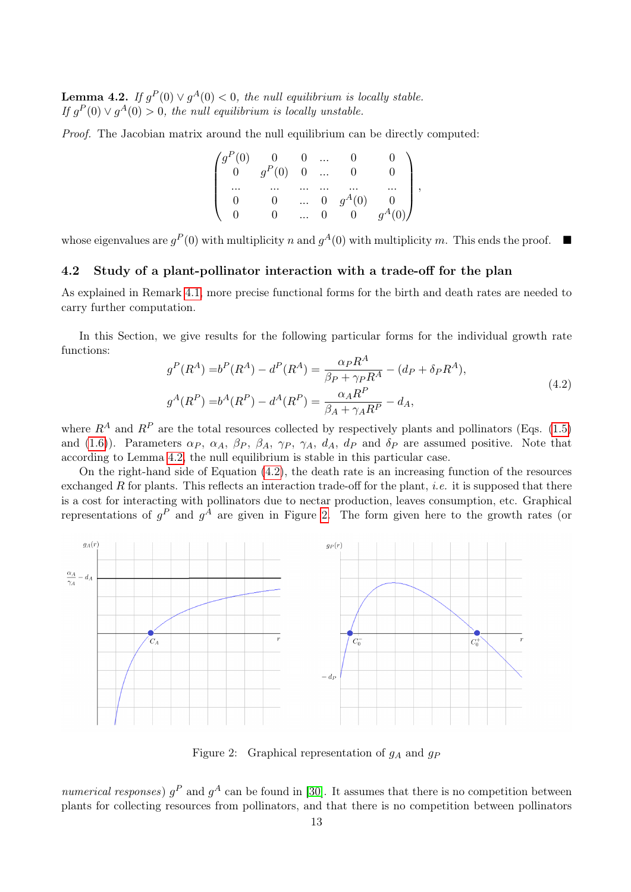**Lemma 4.2.** If  $g^P(0) \vee g^A(0) < 0$ , the null equilibrium is locally stable. If  $g^P(0) \vee g^A(0) > 0$ , the null equilibrium is locally unstable.

Proof. The Jacobian matrix around the null equilibrium can be directly computed:

| $\int g^P(0)$  |            |          | $\cdots$ |          |  |
|----------------|------------|----------|----------|----------|--|
| $\overline{0}$ | $g^P(0)$ 0 |          | $\cdots$ |          |  |
| $\cdots$       |            |          |          |          |  |
|                |            | $\cdots$ |          | $g^A(0)$ |  |
|                |            |          |          |          |  |

whose eigenvalues are  $g^P(0)$  with multiplicity n and  $g^A(0)$  with multiplicity m. This ends the proof.  $\blacksquare$ 

## 4.2 Study of a plant-pollinator interaction with a trade-off for the plan

As explained in Remark 4.1, more precise functional forms for the birth and death rates are needed to carry further computation.

In this Section, we give results for the following particular forms for the individual growth rate functions:

$$
g^{P}(R^{A}) = b^{P}(R^{A}) - d^{P}(R^{A}) = \frac{\alpha_{P}R^{A}}{\beta_{P} + \gamma_{P}R^{A}} - (d_{P} + \delta_{P}R^{A}),
$$
  
\n
$$
g^{A}(R^{P}) = b^{A}(R^{P}) - d^{A}(R^{P}) = \frac{\alpha_{A}R^{P}}{\beta_{A} + \gamma_{A}R^{P}} - d_{A},
$$
\n(4.2)

where  $R^A$  and  $R^P$  are the total resources collected by respectively plants and pollinators (Eqs. (1.5) and (1.6)). Parameters  $\alpha_P$ ,  $\alpha_A$ ,  $\beta_P$ ,  $\beta_A$ ,  $\gamma_P$ ,  $\gamma_A$ ,  $d_A$ ,  $d_P$  and  $\delta_P$  are assumed positive. Note that according to Lemma 4.2, the null equilibrium is stable in this particular case.

On the right-hand side of Equation (4.2), the death rate is an increasing function of the resources exchanged R for plants. This reflects an interaction trade-off for the plant, *i.e.* it is supposed that there is a cost for interacting with pollinators due to nectar production, leaves consumption, etc. Graphical representations of  $g^P$  and  $g^A$  are given in Figure 2. The form given here to the growth rates (or



Figure 2: Graphical representation of  $g_A$  and  $g_P$ 

numerical responses)  $g^P$  and  $g^A$  can be found in [30]. It assumes that there is no competition between plants for collecting resources from pollinators, and that there is no competition between pollinators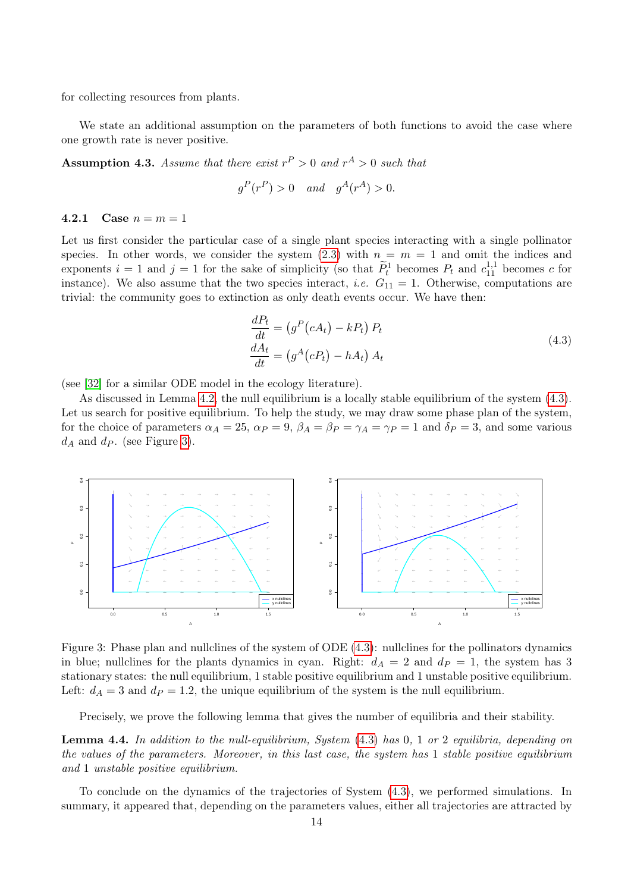for collecting resources from plants.

We state an additional assumption on the parameters of both functions to avoid the case where one growth rate is never positive.

**Assumption 4.3.** Assume that there exist  $r^P > 0$  and  $r^A > 0$  such that

$$
g^P(r^P) > 0 \quad and \quad g^A(r^A) > 0.
$$

#### 4.2.1 Case  $n = m = 1$

Let us first consider the particular case of a single plant species interacting with a single pollinator species. In other words, we consider the system (2.3) with  $n = m = 1$  and omit the indices and exponents  $i = 1$  and  $j = 1$  for the sake of simplicity (so that  $\widetilde{P}_t^1$  becomes  $P_t$  and  $c_{11}^{1,1}$  becomes c for instance). We also assume that the two species interact, *i.e.*  $G_{11} = 1$ . Otherwise, computations are trivial: the community goes to extinction as only death events occur. We have then:

$$
\frac{dP_t}{dt} = (g^P(cA_t) - kP_t) P_t
$$
\n
$$
\frac{dA_t}{dt} = (g^A(cP_t) - hA_t) A_t
$$
\n(4.3)

(see [32] for a similar ODE model in the ecology literature).

As discussed in Lemma 4.2, the null equilibrium is a locally stable equilibrium of the system (4.3). Let us search for positive equilibrium. To help the study, we may draw some phase plan of the system, for the choice of parameters  $\alpha_A = 25$ ,  $\alpha_P = 9$ ,  $\beta_A = \beta_P = \gamma_A = \gamma_P = 1$  and  $\delta_P = 3$ , and some various  $d_A$  and  $d_P$ . (see Figure 3).



Figure 3: Phase plan and nullclines of the system of ODE (4.3): nullclines for the pollinators dynamics in blue; nullclines for the plants dynamics in cyan. Right:  $d_A = 2$  and  $d_P = 1$ , the system has 3 stationary states: the null equilibrium, 1 stable positive equilibrium and 1 unstable positive equilibrium. Left:  $d_A = 3$  and  $d_P = 1.2$ , the unique equilibrium of the system is the null equilibrium.

Precisely, we prove the following lemma that gives the number of equilibria and their stability.

**Lemma 4.4.** In addition to the null-equilibrium, System  $(4.3)$  has 0, 1 or 2 equilibria, depending on the values of the parameters. Moreover, in this last case, the system has 1 stable positive equilibrium and 1 unstable positive equilibrium.

To conclude on the dynamics of the trajectories of System (4.3), we performed simulations. In summary, it appeared that, depending on the parameters values, either all trajectories are attracted by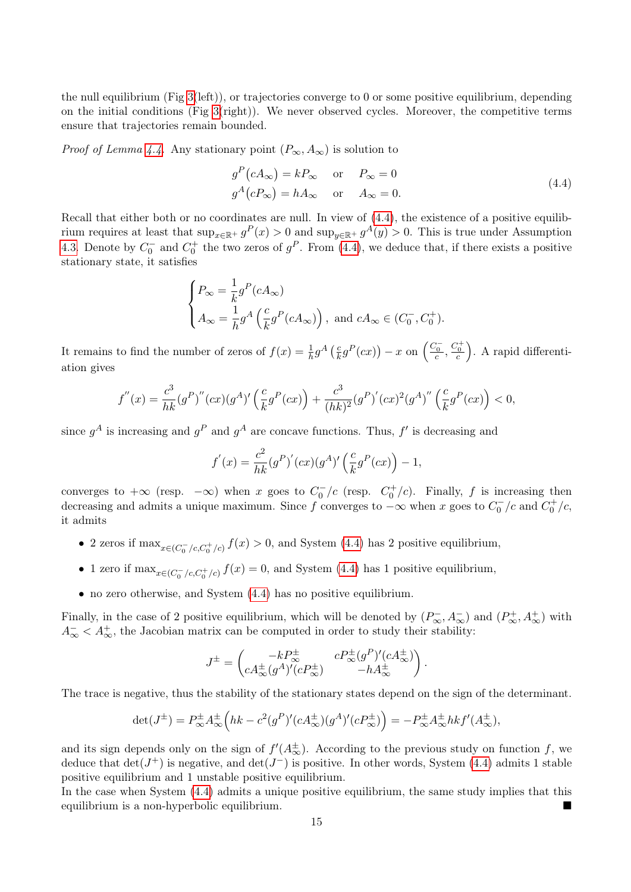the null equilibrium (Fig 3(left)), or trajectories converge to 0 or some positive equilibrium, depending on the initial conditions (Fig  $3$ (right)). We never observed cycles. Moreover, the competitive terms ensure that trajectories remain bounded.

*Proof of Lemma 4.4.* Any stationary point  $(P_{\infty}, A_{\infty})$  is solution to

$$
gP(cA\infty) = kP\infty \text{ or } P\infty = 0
$$
  
\n
$$
gA(cP\infty) = hA\infty \text{ or } A\infty = 0.
$$
\n(4.4)

Recall that either both or no coordinates are null. In view of (4.4), the existence of a positive equilibrium requires at least that  $\sup_{x\in\mathbb{R}^+} g^P(x) > 0$  and  $\sup_{y\in\mathbb{R}^+} g^A(y) > 0$ . This is true under Assumption 4.3. Denote by  $C_0^-$  and  $C_0^+$  the two zeros of  $g^P$ . From (4.4), we deduce that, if there exists a positive stationary state, it satisfies

$$
\begin{cases}\nP_{\infty} = \frac{1}{k} g^P(cA_{\infty}) \\
A_{\infty} = \frac{1}{h} g^A\left(\frac{c}{k} g^P(cA_{\infty})\right), \text{ and } cA_{\infty} \in (C_0^-, C_0^+).\n\end{cases}
$$

It remains to find the number of zeros of  $f(x) = \frac{1}{h}g^A\left(\frac{c}{k}\right)$  $\frac{c}{k}g^P(cx)) - x$  on  $\left(\frac{C_0^-}{c}, \frac{C_0^+}{c}\right)$ . A rapid differentiation gives

$$
f''(x) = \frac{c^3}{hk}(g^P)''(cx)(g^A)'(\frac{c}{k}g^P(cx)) + \frac{c^3}{(hk)^2}(g^P)'(cx)^2(g^A)''(\frac{c}{k}g^P(cx)) < 0,
$$

since  $g^A$  is increasing and  $g^P$  and  $g^A$  are concave functions. Thus,  $f'$  is decreasing and

$$
f'(x) = \frac{c^2}{hk} (g^P)'(cx) (g^A)' \left(\frac{c}{k} g^P(cx)\right) - 1,
$$

converges to  $+\infty$  (resp.  $-\infty$ ) when x goes to  $C_0^-/c$  (resp.  $C_0^+/c$ ). Finally, f is increasing then decreasing and admits a unique maximum. Since f converges to  $-\infty$  when x goes to  $C_0^-/c$  and  $C_0^+/c$ , it admits

- 2 zeros if  $\max_{x \in (C_0^-/c, C_0^+/c)} f(x) > 0$ , and System (4.4) has 2 positive equilibrium,
- 1 zero if  $\max_{x \in (C_0^-/c, C_0^+/c)} f(x) = 0$ , and System (4.4) has 1 positive equilibrium,
- no zero otherwise, and System  $(4.4)$  has no positive equilibrium.

Finally, in the case of 2 positive equilibrium, which will be denoted by  $(P_{\infty}^-, A_{\infty}^-)$  and  $(P_{\infty}^+, A_{\infty}^+)$  with  $A_{\infty}^- < A_{\infty}^+$ , the Jacobian matrix can be computed in order to study their stability:

$$
J^{\pm} = \begin{pmatrix} -kP_{\infty}^{\pm} & cP_{\infty}^{\pm}(g^P)'(cA_{\infty}^{\pm}) \\ cA_{\infty}^{\pm}(g^A)'(cP_{\infty}^{\pm}) & -hA_{\infty}^{\pm} \end{pmatrix}.
$$

The trace is negative, thus the stability of the stationary states depend on the sign of the determinant.

$$
\det(J^{\pm}) = P_{\infty}^{\pm} A_{\infty}^{\pm} \left( hk - c^2 (g^P)' (c A_{\infty}^{\pm}) (g^A)' (c P_{\infty}^{\pm}) \right) = -P_{\infty}^{\pm} A_{\infty}^{\pm} hk f'(A_{\infty}^{\pm}),
$$

and its sign depends only on the sign of  $f'(A_{\infty}^{\pm})$ . According to the previous study on function f, we deduce that  $\det(J^+)$  is negative, and  $\det(J^-)$  is positive. In other words, System (4.4) admits 1 stable positive equilibrium and 1 unstable positive equilibrium.

In the case when System (4.4) admits a unique positive equilibrium, the same study implies that this equilibrium is a non-hyperbolic equilibrium.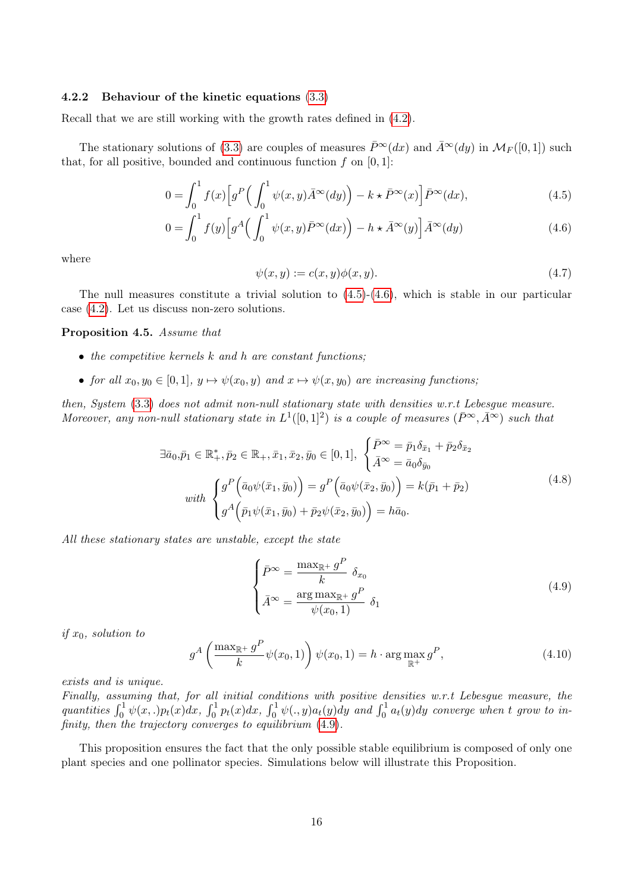### 4.2.2 Behaviour of the kinetic equations (3.3)

Recall that we are still working with the growth rates defined in (4.2).

The stationary solutions of (3.3) are couples of measures  $\bar{P}^{\infty}(dx)$  and  $\bar{A}^{\infty}(dy)$  in  $\mathcal{M}_F([0,1])$  such that, for all positive, bounded and continuous function  $f$  on  $[0, 1]$ :

$$
0 = \int_0^1 f(x) \left[ g^P \left( \int_0^1 \psi(x, y) \bar{A}^\infty(dy) \right) - k \star \bar{P}^\infty(x) \right] \bar{P}^\infty(dx),\tag{4.5}
$$

$$
0 = \int_0^1 f(y) \left[ g^A \left( \int_0^1 \psi(x, y) \bar{P}^\infty(dx) \right) - h \star \bar{A}^\infty(y) \right] \bar{A}^\infty(dy) \tag{4.6}
$$

where

$$
\psi(x,y) := c(x,y)\phi(x,y). \tag{4.7}
$$

The null measures constitute a trivial solution to  $(4.5)-(4.6)$ , which is stable in our particular case (4.2). Let us discuss non-zero solutions.

#### Proposition 4.5. Assume that

- $\bullet$  the competitive kernels k and h are constant functions:
- for all  $x_0, y_0 \in [0, 1], y \mapsto \psi(x_0, y)$  and  $x \mapsto \psi(x, y_0)$  are increasing functions;

then, System (3.3) does not admit non-null stationary state with densities w.r.t Lebesgue measure. Moreover, any non-null stationary state in  $L^1([0,1]^2)$  is a couple of measures  $(\bar{P}^{\infty}, \bar{A}^{\infty})$  such that

$$
\exists \bar{a}_0, \bar{p}_1 \in \mathbb{R}_+^*, \bar{p}_2 \in \mathbb{R}_+, \bar{x}_1, \bar{x}_2, \bar{y}_0 \in [0, 1], \begin{cases} \bar{P}^{\infty} = \bar{p}_1 \delta_{\bar{x}_1} + \bar{p}_2 \delta_{\bar{x}_2} \\ \bar{A}^{\infty} = \bar{a}_0 \delta_{\bar{y}_0} \end{cases}
$$
  
\nwith 
$$
\begin{cases} g^P(\bar{a}_0 \psi(\bar{x}_1, \bar{y}_0)) = g^P(\bar{a}_0 \psi(\bar{x}_2, \bar{y}_0)) = k(\bar{p}_1 + \bar{p}_2) \\ g^A(\bar{p}_1 \psi(\bar{x}_1, \bar{y}_0) + \bar{p}_2 \psi(\bar{x}_2, \bar{y}_0)) = h\bar{a}_0. \end{cases}
$$
\n(4.8)

All these stationary states are unstable, except the state

$$
\begin{cases}\n\bar{P}^{\infty} = \frac{\max_{\mathbb{R}^+} g^P}{k} \delta_{x_0} \\
\bar{A}^{\infty} = \frac{\arg \max_{\mathbb{R}^+} g^P}{\psi(x_0, 1)} \delta_1\n\end{cases}
$$
\n(4.9)

if  $x_0$ , solution to

$$
g^A\left(\frac{\max_{\mathbb{R}^+} g^P}{k}\psi(x_0, 1)\right)\psi(x_0, 1) = h \cdot \arg\max_{\mathbb{R}^+} g^P,
$$
\n(4.10)

exists and is unique.

Finally, assuming that, for all initial conditions with positive densities w.r.t Lebesgue measure, the quantities  $\int_0^1 \psi(x,.) p_t(x) dx$ ,  $\int_0^1 p_t(x) dx$ ,  $\int_0^1 \psi(.,y) a_t(y) dy$  and  $\int_0^1 a_t(y) dy$  converge when t grow to infinity, then the trajectory converges to equilibrium  $(4.9)$ .

This proposition ensures the fact that the only possible stable equilibrium is composed of only one plant species and one pollinator species. Simulations below will illustrate this Proposition.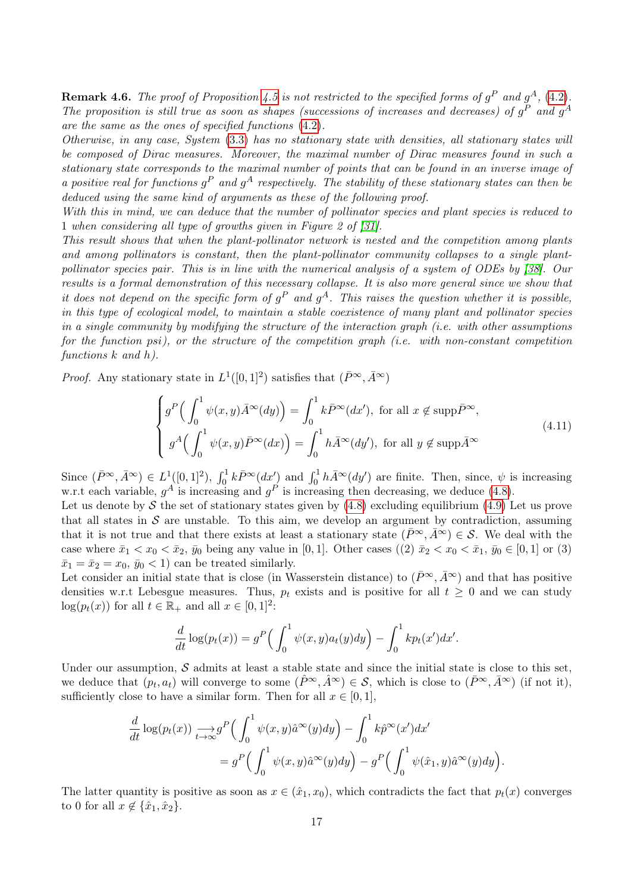**Remark 4.6.** The proof of Proposition 4.5 is not restricted to the specified forms of  $g^P$  and  $g^A$ , (4.2). The proposition is still true as soon as shapes (successions of increases and decreases) of  $g<sup>P</sup>$  and  $g<sup>A</sup>$ are the same as the ones of specified functions (4.2).

Otherwise, in any case, System (3.3) has no stationary state with densities, all stationary states will be composed of Dirac measures. Moreover, the maximal number of Dirac measures found in such a stationary state corresponds to the maximal number of points that can be found in an inverse image of a positive real for functions  $g^P$  and  $g^A$  respectively. The stability of these stationary states can then be deduced using the same kind of arguments as these of the following proof.

With this in mind, we can deduce that the number of pollinator species and plant species is reduced to 1 when considering all type of growths given in Figure 2 of [31].

This result shows that when the plant-pollinator network is nested and the competition among plants and among pollinators is constant, then the plant-pollinator community collapses to a single plantpollinator species pair. This is in line with the numerical analysis of a system of ODEs by [38]. Our results is a formal demonstration of this necessary collapse. It is also more general since we show that it does not depend on the specific form of  $g^P$  and  $g^A$ . This raises the question whether it is possible, in this type of ecological model, to maintain a stable coexistence of many plant and pollinator species in a single community by modifying the structure of the interaction graph (i.e. with other assumptions for the function psi), or the structure of the competition graph (i.e. with non-constant competition functions k and h).

*Proof.* Any stationary state in  $L^1([0,1]^2)$  satisfies that  $(\bar{P}^{\infty}, \bar{A}^{\infty})$ 

$$
\begin{cases}\ng^P\Big(\int_0^1 \psi(x,y)\bar{A}^\infty(dy)\Big) = \int_0^1 k\bar{P}^\infty(dx'), \text{ for all } x \notin \text{supp}\bar{P}^\infty, \\
g^A\Big(\int_0^1 \psi(x,y)\bar{P}^\infty(dx)\Big) = \int_0^1 h\bar{A}^\infty(dy'), \text{ for all } y \notin \text{supp}\bar{A}^\infty\n\end{cases}
$$
\n(4.11)

Since  $(\bar{P}^{\infty}, \bar{A}^{\infty}) \in L^1([0, 1]^2)$ ,  $\int_0^1 k \bar{P}^{\infty}(dx')$  and  $\int_0^1 h \bar{A}^{\infty}(dy')$  are finite. Then, since,  $\psi$  is increasing w.r.t each variable,  $g^A$  is increasing and  $g^P$  is increasing then decreasing, we deduce (4.8).

Let us denote by S the set of stationary states given by  $(4.8)$  excluding equilibrium  $(4.9)$  Let us prove that all states in  $S$  are unstable. To this aim, we develop an argument by contradiction, assuming that it is not true and that there exists at least a stationary state  $(\bar{P}^{\infty}, \bar{A}^{\infty}) \in S$ . We deal with the case where  $\bar{x}_1 < x_0 < \bar{x}_2$ ,  $\bar{y}_0$  being any value in [0, 1]. Other cases ((2)  $\bar{x}_2 < x_0 < \bar{x}_1$ ,  $\bar{y}_0 \in [0, 1]$  or (3)  $\bar{x}_1 = \bar{x}_2 = x_0$ ,  $\bar{y}_0 < 1$  can be treated similarly.

Let consider an initial state that is close (in Wasserstein distance) to  $(\bar{P}^{\infty}, \bar{A}^{\infty})$  and that has positive densities w.r.t Lebesgue measures. Thus,  $p_t$  exists and is positive for all  $t \geq 0$  and we can study  $log(p_t(x))$  for all  $t \in \mathbb{R}_+$  and all  $x \in [0, 1]^2$ :

$$
\frac{d}{dt}\log(p_t(x)) = g^P\left(\int_0^1 \psi(x,y)a_t(y)dy\right) - \int_0^1 kp_t(x')dx'.
$$

Under our assumption,  $S$  admits at least a stable state and since the initial state is close to this set, we deduce that  $(p_t, a_t)$  will converge to some  $(\hat{P}^{\infty}, \hat{A}^{\infty}) \in \mathcal{S}$ , which is close to  $(\bar{P}^{\infty}, \bar{A}^{\infty})$  (if not it), sufficiently close to have a similar form. Then for all  $x \in [0,1]$ ,

$$
\frac{d}{dt} \log(p_t(x)) \xrightarrow[t \to \infty]{} g^P \left( \int_0^1 \psi(x, y) \hat{a}^\infty(y) dy \right) - \int_0^1 k \hat{p}^\infty(x') dx' \n= g^P \left( \int_0^1 \psi(x, y) \hat{a}^\infty(y) dy \right) - g^P \left( \int_0^1 \psi(\hat{x}_1, y) \hat{a}^\infty(y) dy \right).
$$

The latter quantity is positive as soon as  $x \in (\hat{x}_1, x_0)$ , which contradicts the fact that  $p_t(x)$  converges to 0 for all  $x \notin {\hat{x}_1, \hat{x}_2}$ .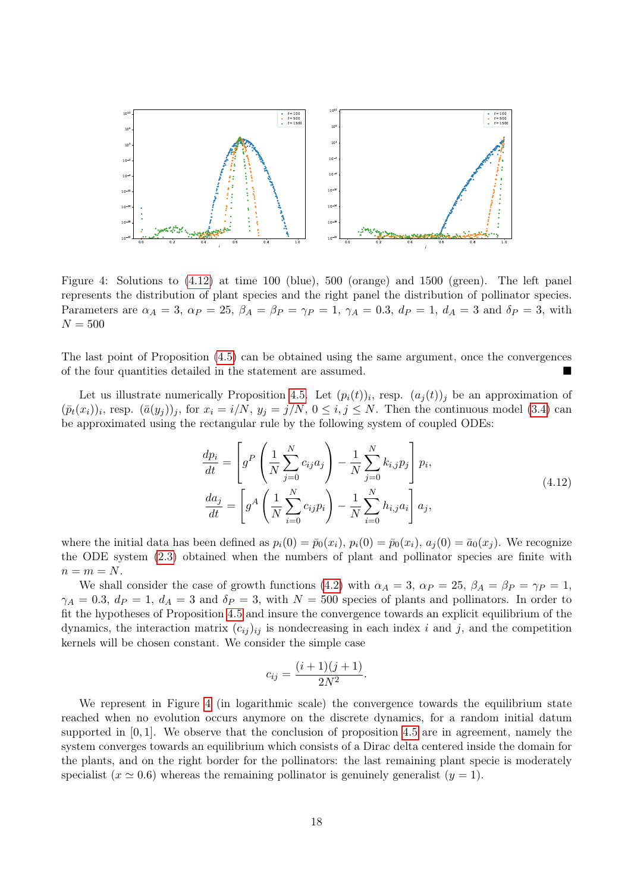

Figure 4: Solutions to (4.12) at time 100 (blue), 500 (orange) and 1500 (green). The left panel represents the distribution of plant species and the right panel the distribution of pollinator species. Parameters are  $\alpha_A = 3$ ,  $\alpha_P = 25$ ,  $\beta_A = \beta_P = \gamma_P = 1$ ,  $\gamma_A = 0.3$ ,  $d_P = 1$ ,  $d_A = 3$  and  $\delta_P = 3$ , with  $N = 500$ 

The last point of Proposition (4.5) can be obtained using the same argument, once the convergences of the four quantities detailed in the statement are assumed.

Let us illustrate numerically Proposition 4.5. Let  $(p_i(t))_i$ , resp.  $(a_j(t))_j$  be an approximation of  $(\bar{p}_t(x_i))_i$ , resp.  $(\bar{a}(y_j))_j$ , for  $x_i = i/N$ ,  $y_j = j/N$ ,  $0 \le i, j \le N$ . Then the continuous model (3.4) can be approximated using the rectangular rule by the following system of coupled ODEs:

$$
\frac{dp_i}{dt} = \left[ g^P \left( \frac{1}{N} \sum_{j=0}^N c_{ij} a_j \right) - \frac{1}{N} \sum_{j=0}^N k_{i,j} p_j \right] p_i,
$$
\n
$$
\frac{da_j}{dt} = \left[ g^A \left( \frac{1}{N} \sum_{i=0}^N c_{ij} p_i \right) - \frac{1}{N} \sum_{i=0}^N h_{i,j} a_i \right] a_j,
$$
\n(4.12)

where the initial data has been defined as  $p_i(0) = \bar{p}_0(x_i)$ ,  $p_i(0) = \bar{p}_0(x_i)$ ,  $a_i(0) = \bar{a}_0(x_i)$ . We recognize the ODE system (2.3) obtained when the numbers of plant and pollinator species are finite with  $n = m = N$ .

We shall consider the case of growth functions (4.2) with  $\alpha_A = 3$ ,  $\alpha_P = 25$ ,  $\beta_A = \beta_P = \gamma_P = 1$ ,  $\gamma_A = 0.3$ ,  $d_P = 1$ ,  $d_A = 3$  and  $\delta_P = 3$ , with  $N = 500$  species of plants and pollinators. In order to fit the hypotheses of Proposition 4.5 and insure the convergence towards an explicit equilibrium of the dynamics, the interaction matrix  $(c_{ij})_{ij}$  is nondecreasing in each index i and j, and the competition kernels will be chosen constant. We consider the simple case

$$
c_{ij} = \frac{(i+1)(j+1)}{2N^2}.
$$

We represent in Figure 4 (in logarithmic scale) the convergence towards the equilibrium state reached when no evolution occurs anymore on the discrete dynamics, for a random initial datum supported in  $[0, 1]$ . We observe that the conclusion of proposition 4.5 are in agreement, namely the system converges towards an equilibrium which consists of a Dirac delta centered inside the domain for the plants, and on the right border for the pollinators: the last remaining plant specie is moderately specialist  $(x \approx 0.6)$  whereas the remaining pollinator is genuinely generalist  $(y = 1)$ .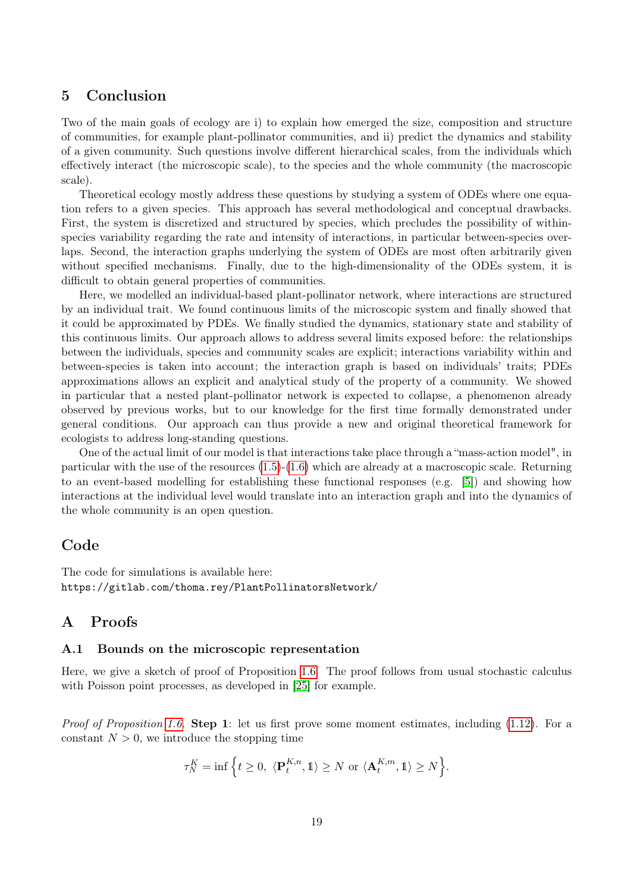## 5 Conclusion

Two of the main goals of ecology are i) to explain how emerged the size, composition and structure of communities, for example plant-pollinator communities, and ii) predict the dynamics and stability of a given community. Such questions involve different hierarchical scales, from the individuals which effectively interact (the microscopic scale), to the species and the whole community (the macroscopic scale).

Theoretical ecology mostly address these questions by studying a system of ODEs where one equation refers to a given species. This approach has several methodological and conceptual drawbacks. First, the system is discretized and structured by species, which precludes the possibility of withinspecies variability regarding the rate and intensity of interactions, in particular between-species overlaps. Second, the interaction graphs underlying the system of ODEs are most often arbitrarily given without specified mechanisms. Finally, due to the high-dimensionality of the ODEs system, it is difficult to obtain general properties of communities.

Here, we modelled an individual-based plant-pollinator network, where interactions are structured by an individual trait. We found continuous limits of the microscopic system and finally showed that it could be approximated by PDEs. We finally studied the dynamics, stationary state and stability of this continuous limits. Our approach allows to address several limits exposed before: the relationships between the individuals, species and community scales are explicit; interactions variability within and between-species is taken into account; the interaction graph is based on individuals' traits; PDEs approximations allows an explicit and analytical study of the property of a community. We showed in particular that a nested plant-pollinator network is expected to collapse, a phenomenon already observed by previous works, but to our knowledge for the first time formally demonstrated under general conditions. Our approach can thus provide a new and original theoretical framework for ecologists to address long-standing questions.

One of the actual limit of our model is that interactions take place through a "mass-action model", in particular with the use of the resources  $(1.5)-(1.6)$  which are already at a macroscopic scale. Returning to an event-based modelling for establishing these functional responses (e.g. [5]) and showing how interactions at the individual level would translate into an interaction graph and into the dynamics of the whole community is an open question.

## Code

The code for simulations is available here: https://gitlab.com/thoma.rey/PlantPollinatorsNetwork/

## A Proofs

## A.1 Bounds on the microscopic representation

Here, we give a sketch of proof of Proposition 1.6. The proof follows from usual stochastic calculus with Poisson point processes, as developed in [25] for example.

*Proof of Proposition 1.6.* Step 1: let us first prove some moment estimates, including  $(1.12)$ . For a constant  $N > 0$ , we introduce the stopping time

$$
\tau_N^K = \inf \Big\{ t \ge 0, \ \langle \mathbf{P}_t^{K,n}, \mathbb{1} \rangle \ge N \text{ or } \langle \mathbf{A}_t^{K,m}, \mathbb{1} \rangle \ge N \Big\}.
$$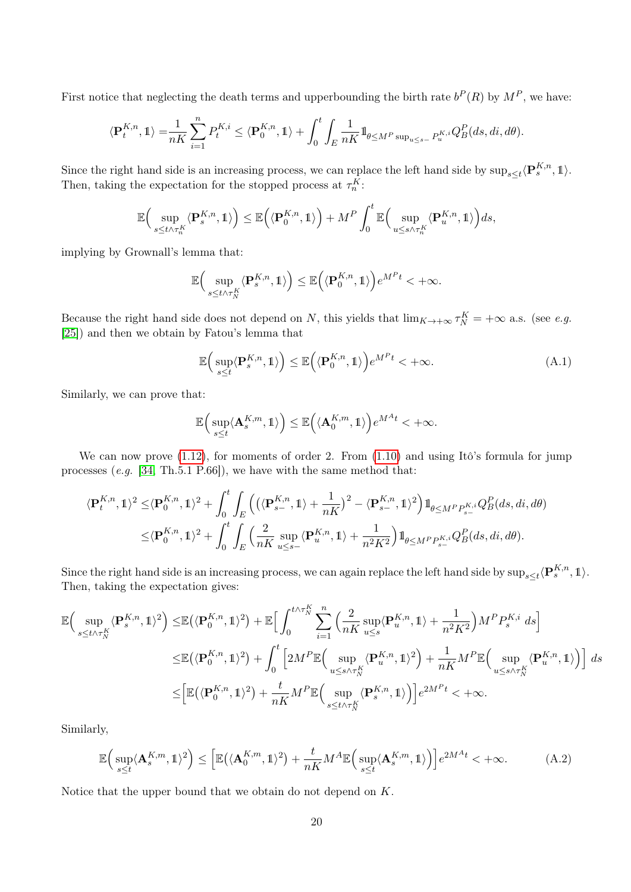First notice that neglecting the death terms and upperbounding the birth rate  $b^P(R)$  by  $M^P$ , we have:

$$
\langle \mathbf{P}_t^{K,n}, \mathbb{1} \rangle = \frac{1}{nK} \sum_{i=1}^n P_t^{K,i} \le \langle \mathbf{P}_0^{K,n}, \mathbb{1} \rangle + \int_0^t \int_E \frac{1}{nK} \mathbb{1}_{\theta \le M^P \sup_{u \le s-} P_u^{K,i}} Q_B^P(ds, di, d\theta).
$$

Since the right hand side is an increasing process, we can replace the left hand side by  $\sup_{s\leq t}\langle \mathbf{P}_s^{K,n}, \mathbb{1}\rangle$ . Then, taking the expectation for the stopped process at  $\tau_n^K$ :

$$
\mathbb{E}\Big(\sup_{s\leq t\wedge\tau_n^{K}}\langle \mathbf{P}^{K,n}_s,\mathbb{1}\rangle\Big)\leq\mathbb{E}\Big(\langle \mathbf{P}^{K,n}_0,\mathbb{1}\rangle\Big)+M^P\int_0^t\mathbb{E}\Big(\sup_{u\leq s\wedge\tau_n^{K}}\langle \mathbf{P}^{K,n}_u,\mathbb{1}\rangle\Big)ds,
$$

implying by Grownall's lemma that:

$$
\mathbb{E}\Big(\sup_{s\leq t\wedge\tau_N^K}\langle \mathbf{P}^{K,n}_s,\mathbb{1}\rangle\Big)\leq\mathbb{E}\Big(\langle \mathbf{P}_0^{K,n},\mathbb{1}\rangle\Big)e^{M^Pt}<+\infty.
$$

Because the right hand side does not depend on N, this yields that  $\lim_{K \to +\infty} \tau_N^K = +\infty$  a.s. (see e.g. [25]) and then we obtain by Fatou's lemma that

$$
\mathbb{E}\left(\sup_{s\leq t}\langle \mathbf{P}_{s}^{K,n},1\rangle\right)\leq \mathbb{E}\left(\langle \mathbf{P}_{0}^{K,n},1\rangle\right)e^{M^{P}t}<+\infty.
$$
\n(A.1)

Similarly, we can prove that:

$$
\mathbb{E}\Big(\sup_{s\leq t}\langle \mathbf{A}^{K,m}_s,\mathbb{1}\rangle\Big)\leq \mathbb{E}\Big(\langle \mathbf{A}^{K,m}_0,\mathbb{1}\rangle\Big)e^{M^At}<+\infty.
$$

We can now prove  $(1.12)$ , for moments of order 2. From  $(1.10)$  and using Itô's formula for jump processes  $(e.g. [34, Th.5.1 P.66])$ , we have with the same method that:

$$
\begin{split} \langle \mathbf{P}^{K,n}_t, \mathbb{1} \rangle^2 \leq & \langle \mathbf{P}^{K,n}_0, \mathbb{1} \rangle^2 + \int_0^t \int_E \Big( \langle \langle \mathbf{P}^{K,n}_{s-}, \mathbb{1} \rangle + \frac{1}{nK} \rangle^2 - \langle \mathbf{P}^{K,n}_{s-}, \mathbb{1} \rangle^2 \Big) \mathbb{1}_{\theta \leq M^P P^{K,i}_{s-}} Q^P_B(ds, di, d\theta) \\ \leq & \langle \mathbf{P}^{K,n}_0, \mathbb{1} \rangle^2 + \int_0^t \int_E \Big( \frac{2}{nK} \sup_{u \leq s-} \langle \mathbf{P}^{K,n}_u, \mathbb{1} \rangle + \frac{1}{n^2 K^2} \Big) \mathbb{1}_{\theta \leq M^P P^{K,i}_{s-}} Q^P_B(ds, di, d\theta). \end{split}
$$

Since the right hand side is an increasing process, we can again replace the left hand side by  $\sup_{s\leq t}\langle \mathbf{P}_s^{K,n},1\rangle$ . Then, taking the expectation gives:

$$
\begin{split} \mathbb{E}\Big(\sup_{s\leq t\wedge\tau_N^K} \langle \mathbf{P}^{K,n}_s,\mathbb{1}\rangle^2 \Big) \leq & \mathbb{E}\big(\langle \mathbf{P}^{K,n}_0,\mathbb{1}\rangle^2\big) + \mathbb{E}\Big[\int_0^{t\wedge\tau_N^K} \sum_{i=1}^n \Big(\frac{2}{nK}\sup_{u\leq s}\langle \mathbf{P}^{K,n}_u,\mathbb{1}\rangle + \frac{1}{n^2K^2}\Big)M^P P^{K,i}_s\ ds\Big] \\ \leq & \mathbb{E}\big(\langle \mathbf{P}^{K,n}_0,\mathbb{1}\rangle^2\big) + \int_0^t \Big[2M^P\mathbb{E}\Big(\sup_{u\leq s\wedge\tau_N^K} \langle \mathbf{P}^{K,n}_u,\mathbb{1}\rangle^2\Big) + \frac{1}{nK}M^P\mathbb{E}\Big(\sup_{u\leq s\wedge\tau_N^K} \langle \mathbf{P}^{K,n}_u,\mathbb{1}\rangle\Big)\Big]\ ds \\ \leq & \Big[\mathbb{E}\big(\langle \mathbf{P}^{K,n}_0,\mathbb{1}\rangle^2\big) + \frac{t}{nK}M^P\mathbb{E}\Big(\sup_{s\leq t\wedge\tau_N^K} \langle \mathbf{P}^{K,n}_s,\mathbb{1}\rangle\Big)\Big]e^{2M^Pt} < +\infty. \end{split}
$$

Similarly,

$$
\mathbb{E}\Big(\sup_{s\leq t} \langle \mathbf{A}_{s}^{K,m}, \mathbf{1} \rangle^{2}\Big) \leq \Big[\mathbb{E}\big(\langle \mathbf{A}_{0}^{K,m}, \mathbf{1} \rangle^{2}\big) + \frac{t}{nK}M^{A}\mathbb{E}\Big(\sup_{s\leq t} \langle \mathbf{A}_{s}^{K,m}, \mathbf{1} \rangle\Big)\Big]e^{2M^{A}t} < +\infty.
$$
 (A.2)

Notice that the upper bound that we obtain do not depend on  $K$ .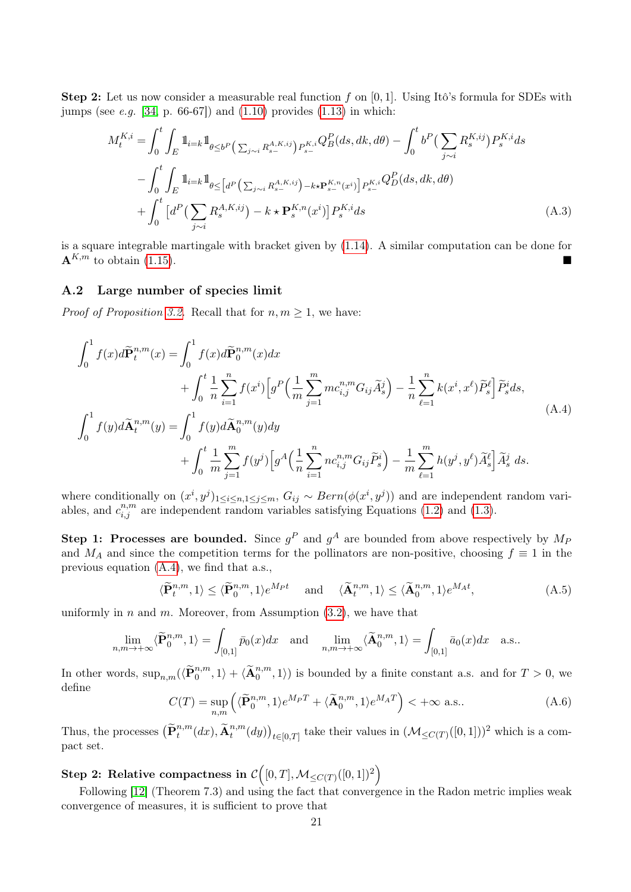**Step 2:** Let us now consider a measurable real function f on  $[0, 1]$ . Using Itô's formula for SDEs with jumps (see *e.g.* [34, p. 66-67]) and  $(1.10)$  provides  $(1.13)$  in which:

$$
M_{t}^{K,i} = \int_{0}^{t} \int_{E} \mathbb{1}_{i=k} \mathbb{1}_{\theta \leq b^{P} \left( \sum_{j \sim i} R_{s-}^{A,K,ij} \right) P_{s-}^{K,i}} Q_{B}^{P}(ds, dk, d\theta) - \int_{0}^{t} b^{P} \left( \sum_{j \sim i} R_{s}^{K,ij} \right) P_{s}^{K,i} ds
$$

$$
- \int_{0}^{t} \int_{E} \mathbb{1}_{i=k} \mathbb{1}_{\theta \leq \left[ d^{P} \left( \sum_{j \sim i} R_{s-}^{A,K,ij} \right) - k \star P_{s-}^{K,n}(x^{i}) \right] P_{s-}^{K,i}} Q_{D}^{P}(ds, dk, d\theta)
$$

$$
+ \int_{0}^{t} \left[ d^{P} \left( \sum_{j \sim i} R_{s}^{A,K,ij} \right) - k \star P_{s}^{K,n}(x^{i}) \right] P_{s}^{K,i} ds \tag{A.3}
$$

is a square integrable martingale with bracket given by (1.14). A similar computation can be done for  ${\bf A}^{K,m}$  to obtain (1.15).

#### A.2 Large number of species limit

*Proof of Proposition 3.2.* Recall that for  $n, m \geq 1$ , we have:

$$
\int_{0}^{1} f(x)d\widetilde{P}_{t}^{n,m}(x) = \int_{0}^{1} f(x)d\widetilde{P}_{0}^{n,m}(x)dx \n+ \int_{0}^{t} \frac{1}{n} \sum_{i=1}^{n} f(x^{i}) \Big[ g^{P} \Big( \frac{1}{m} \sum_{j=1}^{m} mc_{i,j}^{n,m} G_{ij} \widetilde{A}_{s}^{j} \Big) - \frac{1}{n} \sum_{\ell=1}^{n} k(x^{i}, x^{\ell}) \widetilde{P}_{s}^{\ell} \Big] \widetilde{P}_{s}^{i} ds, \n\int_{0}^{1} f(y)d\widetilde{A}_{t}^{n,m}(y) = \int_{0}^{1} f(y)d\widetilde{A}_{0}^{n,m}(y)dy \n+ \int_{0}^{t} \frac{1}{m} \sum_{j=1}^{m} f(y^{j}) \Big[ g^{A} \Big( \frac{1}{n} \sum_{i=1}^{n} nc_{i,j}^{n,m} G_{ij} \widetilde{P}_{s}^{i} \Big) - \frac{1}{m} \sum_{\ell=1}^{m} h(y^{j}, y^{\ell}) \widetilde{A}_{s}^{\ell} \Big] \widetilde{A}_{s}^{j} ds.
$$
\n(A.4)

where conditionally on  $(x^i, y^j)_{1 \leq i \leq n, 1 \leq j \leq m}$ ,  $G_{ij} \sim Bern(\phi(x^i, y^j))$  and are independent random variables, and  $c_{i,j}^{n,m}$  are independent random variables satisfying Equations (1.2) and (1.3).

Step 1: Processes are bounded. Since  $g^P$  and  $g^A$  are bounded from above respectively by  $M_P$ and  $M_A$  and since the competition terms for the pollinators are non-positive, choosing  $f \equiv 1$  in the previous equation (A.4), we find that a.s.,

$$
\langle \widetilde{\mathbf{P}}_t^{n,m}, 1 \rangle \le \langle \widetilde{\mathbf{P}}_0^{n,m}, 1 \rangle e^{M_P t} \quad \text{and} \quad \langle \widetilde{\mathbf{A}}_t^{n,m}, 1 \rangle \le \langle \widetilde{\mathbf{A}}_0^{n,m}, 1 \rangle e^{M_A t}, \tag{A.5}
$$

uniformly in n and m. Moreover, from Assumption  $(3.2)$ , we have that

$$
\lim_{n,m \to +\infty} \langle \widetilde{\mathbf{P}}^{n,m}_0, 1 \rangle = \int_{[0,1]} \bar{p}_0(x) dx \text{ and } \lim_{n,m \to +\infty} \langle \widetilde{\mathbf{A}}^{n,m}_0, 1 \rangle = \int_{[0,1]} \bar{a}_0(x) dx \text{ a.s.}.
$$

In other words,  $\sup_{n,m} (\langle \widetilde{\mathbf{P}}^{n,m}_0, 1 \rangle + \langle \widetilde{\mathbf{A}}^{n,m}_0, 1 \rangle)$  is bounded by a finite constant a.s. and for  $T > 0$ , we define

$$
C(T) = \sup_{n,m} \left( \langle \widetilde{\mathbf{P}}_0^{n,m}, 1 \rangle e^{M_P T} + \langle \widetilde{\mathbf{A}}_0^{n,m}, 1 \rangle e^{M_A T} \right) < +\infty \text{ a.s.}.
$$
 (A.6)

Thus, the processes  $(\tilde{\mathbf{P}}_t^{n,m}(dx), \tilde{\mathbf{A}}_t^{n,m}(dy))_{t\in[0,T]}$  take their values in  $(\mathcal{M}_{\leq C(T)}([0,1]))^2$  which is a compact set.

# ${\bf Step\ 2: \ }$  Relative compactness in  ${\cal C}\Big([0,T],{\cal M}_{\leq C(T)}([0,1])^2\Big)$

Following [12] (Theorem 7.3) and using the fact that convergence in the Radon metric implies weak convergence of measures, it is sufficient to prove that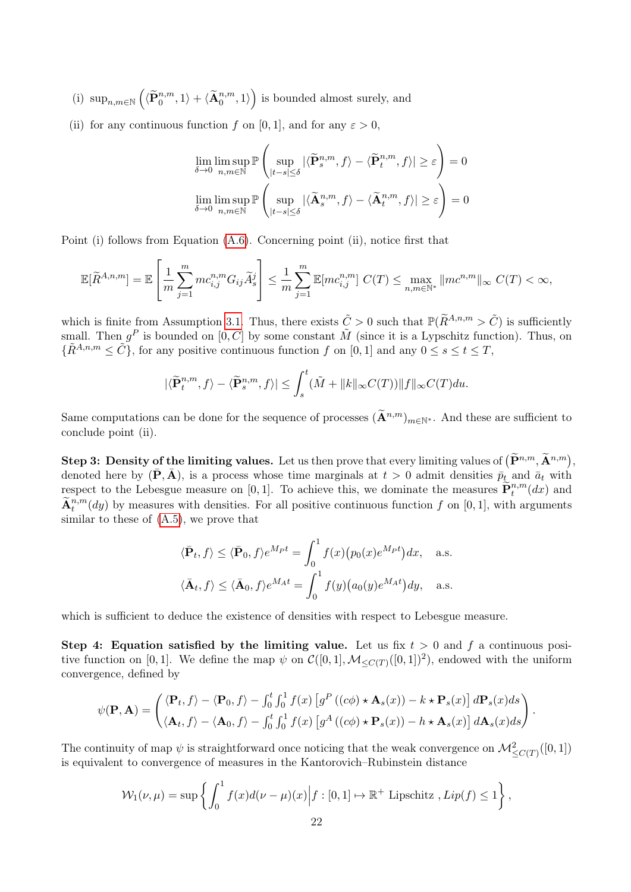(i)  $\sup_{n,m\in\mathbb{N}}\left(\langle \widetilde{\mathbf{P}}^{n,m}_0,1\rangle+\langle \widetilde{\mathbf{A}}^{n,m}_0,1\rangle\right)$  is bounded almost surely, and

(ii) for any continuous function f on [0, 1], and for any  $\varepsilon > 0$ ,

$$
\lim_{\delta \to 0} \limsup_{n,m \in \mathbb{N}} \mathbb{P}\left(\sup_{|t-s| \le \delta} |\langle \widetilde{\mathbf{P}}^{n,m}_s, f \rangle - \langle \widetilde{\mathbf{P}}^{n,m}_t, f \rangle| \ge \varepsilon\right) = 0
$$
\n
$$
\lim_{\delta \to 0} \limsup_{n,m \in \mathbb{N}} \mathbb{P}\left(\sup_{|t-s| \le \delta} |\langle \widetilde{\mathbf{A}}^{n,m}_s, f \rangle - \langle \widetilde{\mathbf{A}}^{n,m}_t, f \rangle| \ge \varepsilon\right) = 0
$$

Point (i) follows from Equation (A.6). Concerning point (ii), notice first that

$$
\mathbb{E}[\widetilde{R}^{A,n,m}] = \mathbb{E}\left[\frac{1}{m}\sum_{j=1}^{m}mc_{i,j}^{n,m}G_{ij}\widetilde{A}_{s}^{j}\right] \leq \frac{1}{m}\sum_{j=1}^{m}\mathbb{E}[mc_{i,j}^{n,m}] C(T) \leq \max_{n,m\in\mathbb{N}^{*}}||mc^{n,m}||_{\infty} C(T) < \infty,
$$

which is finite from Assumption 3.1. Thus, there exists  $\tilde{C} > 0$  such that  $\mathbb{P}(\tilde{R}^{A,n,m} > \tilde{C})$  is sufficiently small. Then  $g^P$  is bounded on  $[0, \tilde{C}]$  by some constant  $\tilde{M}$  (since it is a Lypschitz function). Thus, on  ${\{\tilde{R}^{A,n,m} \leq \tilde{C}\}}$ , for any positive continuous function f on [0, 1] and any  $0 \leq s \leq t \leq T$ ,

$$
|\langle \widetilde{\mathbf{P}}^{n,m}_t, f \rangle - \langle \widetilde{\mathbf{P}}^{n,m}_s, f \rangle| \leq \int_s^t (\tilde{M} + \|k\|_{\infty} C(T)) \|f\|_{\infty} C(T) du.
$$

Same computations can be done for the sequence of processes  $(\widetilde{\mathbf{A}}^{n,m})_{m\in\mathbb{N}^*}$ . And these are sufficient to conclude point (ii).

**Step 3: Density of the limiting values.** Let us then prove that every limiting values of  $(\widetilde{\mathbf{P}}^{n,m}, \widetilde{\mathbf{A}}^{n,m})$ , denoted here by  $(\bar{\mathbf{P}}, \bar{\mathbf{A}})$ , is a process whose time marginals at  $t > 0$  admit densities  $\bar{p}_t$  and  $\bar{a}_t$  with respect to the Lebesgue measure on [0, 1]. To achieve this, we dominate the measures  $\tilde{\mathbf{P}}_t^{n,m}(dx)$  and  $\tilde{\mathbf{A}}^{n,m}_{t}(dy)$  by measures with densities. For all positive continuous function f on [0, 1], with arguments similar to these of (A.5), we prove that

$$
\langle \bar{\mathbf{P}}_t, f \rangle \le \langle \bar{\mathbf{P}}_0, f \rangle e^{M_P t} = \int_0^1 f(x) (p_0(x)e^{M_P t}) dx, \text{ a.s.}
$$
  

$$
\langle \bar{\mathbf{A}}_t, f \rangle \le \langle \bar{\mathbf{A}}_0, f \rangle e^{M_A t} = \int_0^1 f(y) (a_0(y)e^{M_A t}) dy, \text{ a.s.}
$$

which is sufficient to deduce the existence of densities with respect to Lebesgue measure.

Step 4: Equation satisfied by the limiting value. Let us fix  $t > 0$  and f a continuous positive function on [0, 1]. We define the map  $\psi$  on  $\mathcal{C}([0,1], \mathcal{M}_{\leq C(T)}([0,1])^2)$ , endowed with the uniform convergence, defined by

$$
\psi(\mathbf{P}, \mathbf{A}) = \begin{pmatrix} \langle \mathbf{P}_t, f \rangle - \langle \mathbf{P}_0, f \rangle - \int_0^t \int_0^1 f(x) \left[ g^P \left( (c\phi) \star \mathbf{A}_s(x) \right) - k \star \mathbf{P}_s(x) \right] d\mathbf{P}_s(x) ds \\ \langle \mathbf{A}_t, f \rangle - \langle \mathbf{A}_0, f \rangle - \int_0^t \int_0^1 f(x) \left[ g^A \left( (c\phi) \star \mathbf{P}_s(x) \right) - h \star \mathbf{A}_s(x) \right] d\mathbf{A}_s(x) ds \end{pmatrix}.
$$

The continuity of map  $\psi$  is straightforward once noticing that the weak convergence on  $\mathcal{M}^2_{\leq C(T)}([0,1])$ is equivalent to convergence of measures in the Kantorovich–Rubinstein distance

$$
\mathcal{W}_1(\nu,\mu) = \sup \left\{ \int_0^1 f(x)d(\nu-\mu)(x) \middle| f : [0,1] \mapsto \mathbb{R}^+ \text{ Lipschitz }, Lip(f) \le 1 \right\},\
$$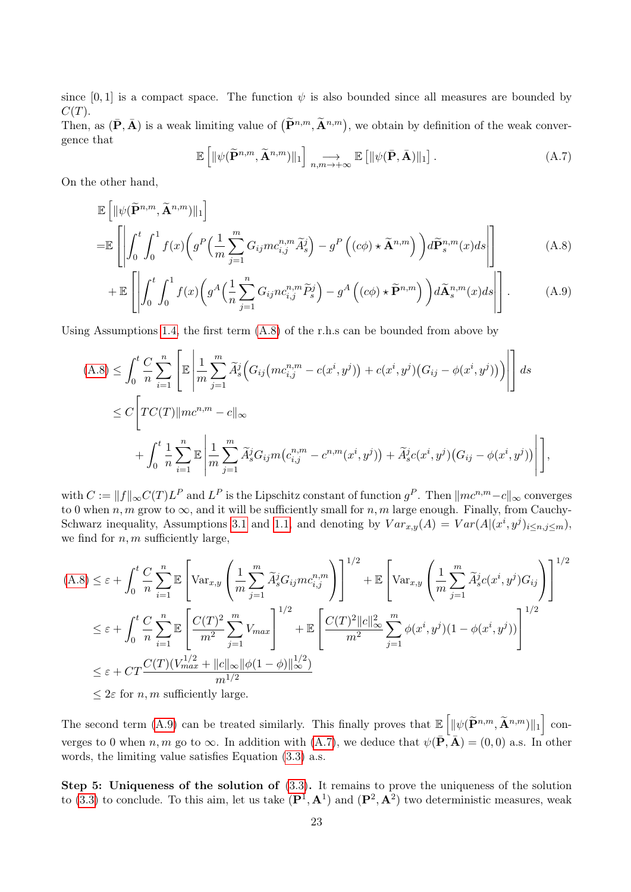since [0, 1] is a compact space. The function  $\psi$  is also bounded since all measures are bounded by  $C(T)$ .

Then, as  $(\bar{\mathbf{P}}, \bar{\mathbf{A}})$  is a weak limiting value of  $(\tilde{\mathbf{P}}^{n,m}, \tilde{\mathbf{A}}^{n,m})$ , we obtain by definition of the weak convergence that

$$
\mathbb{E}\left[\|\psi(\widetilde{\mathbf{P}}^{n,m},\widetilde{\mathbf{A}}^{n,m})\|_{1}\right] \underset{n,m \to +\infty}{\longrightarrow} \mathbb{E}\left[\|\psi(\bar{\mathbf{P}},\bar{\mathbf{A}})\|_{1}\right].\tag{A.7}
$$

On the other hand,

$$
\mathbb{E}\left[\|\psi(\widetilde{\mathbf{P}}^{n,m},\widetilde{\mathbf{A}}^{n,m})\|_{1}\right]
$$
\n
$$
=\mathbb{E}\left[\left|\int_{0}^{t}\int_{0}^{1}f(x)\left(g^{P}\left(\frac{1}{m}\sum_{j=1}^{m}G_{ij}mc_{i,j}^{n,m}\widetilde{A}_{s}^{j}\right)-g^{P}\left((c\phi)\star\widetilde{\mathbf{A}}^{n,m}\right)\right)d\widetilde{\mathbf{P}}_{s}^{n,m}(x)ds\right|\right]
$$
\n(A.8)

$$
+\mathbb{E}\left[\left|\int_0^t \int_0^1 f(x) \left(g^A\left(\frac{1}{n}\sum_{j=1}^n G_{ij} n c_{i,j}^{n,m} \widetilde{P}_s^j\right) - g^A\left((c\phi) \star \widetilde{\mathbf{P}}^{n,m}\right)\right) d\widetilde{\mathbf{A}}_s^{n,m}(x) ds\right|\right].
$$
 (A.9)

Using Assumptions 1.4, the first term (A.8) of the r.h.s can be bounded from above by

$$
(A.8) \leq \int_0^t \frac{C}{n} \sum_{i=1}^n \left[ \mathbb{E} \left| \frac{1}{m} \sum_{j=1}^m \widetilde{A}_s^j \Big( G_{ij} \big( m c_{i,j}^{n,m} - c(x^i, y^j) \Big) + c(x^i, y^j) \big( G_{ij} - \phi(x^i, y^j) \big) \right) \right| \right] ds
$$
  
\n
$$
\leq C \left[ TC(T) \| m c^{n,m} - c \|_{\infty} + \int_0^t \frac{1}{n} \sum_{i=1}^n \mathbb{E} \left| \frac{1}{m} \sum_{j=1}^m \widetilde{A}_s^j G_{ij} m \big( c_{i,j}^{n,m} - c^{n,m} (x^i, y^j) \big) + \widetilde{A}_s^j c(x^i, y^j) \big( G_{ij} - \phi(x^i, y^j) \big) \right| \right],
$$

with  $C := \|f\|_{\infty} C(T) L^P$  and  $L^P$  is the Lipschitz constant of function  $g^P$ . Then  $\| m c^{n,m} - c \|_{\infty}$  converges to 0 when n, m grow to  $\infty$ , and it will be sufficiently small for n, m large enough. Finally, from Cauchy-Schwarz inequality, Assumptions 3.1 and 1.1, and denoting by  $Var_{x,y}(A) = Var(A|(x^i, y^j)_{i \le n, j \le m}),$ we find for  $n, m$  sufficiently large,

$$
(A.8) \leq \varepsilon + \int_0^t \frac{C}{n} \sum_{i=1}^n \mathbb{E} \left[ \text{Var}_{x,y} \left( \frac{1}{m} \sum_{j=1}^m \widetilde{A}_s^j G_{ij} m c_{i,j}^{n,m} \right) \right]^{1/2} + \mathbb{E} \left[ \text{Var}_{x,y} \left( \frac{1}{m} \sum_{j=1}^m \widetilde{A}_s^j c(x^i, y^j) G_{ij} \right) \right]^{1/2}
$$
  
\n
$$
\leq \varepsilon + \int_0^t \frac{C}{n} \sum_{i=1}^n \mathbb{E} \left[ \frac{C(T)^2}{m^2} \sum_{j=1}^m V_{max} \right]^{1/2} + \mathbb{E} \left[ \frac{C(T)^2 ||c||_{\infty}^2}{m^2} \sum_{j=1}^m \phi(x^i, y^j) (1 - \phi(x^i, y^j)) \right]^{1/2}
$$
  
\n
$$
\leq \varepsilon + CT \frac{C(T)(V_{max}^{1/2} + ||c||_{\infty} ||\phi(1 - \phi)||_{\infty}^{1/2})}{m^{1/2}}
$$
  
\n
$$
\leq 2\varepsilon \text{ for } n, m \text{ sufficiently large.}
$$

The second term (A.9) can be treated similarly. This finally proves that  $\mathbb{E}\left[\|\psi(\tilde{\mathbf{P}}^{n,m}, \tilde{\mathbf{A}}^{n,m})\|_1\right]$  converges to 0 when n, m go to  $\infty$ . In addition with (A.7), we deduce that  $\psi(\overline{P}, \overline{A}) = (0, 0)$  a.s. In other words, the limiting value satisfies Equation (3.3) a.s.

Step 5: Uniqueness of the solution of (3.3). It remains to prove the uniqueness of the solution to (3.3) to conclude. To this aim, let us take  $(\mathbf{P}^1, \mathbf{A}^1)$  and  $(\mathbf{P}^2, \mathbf{A}^2)$  two deterministic measures, weak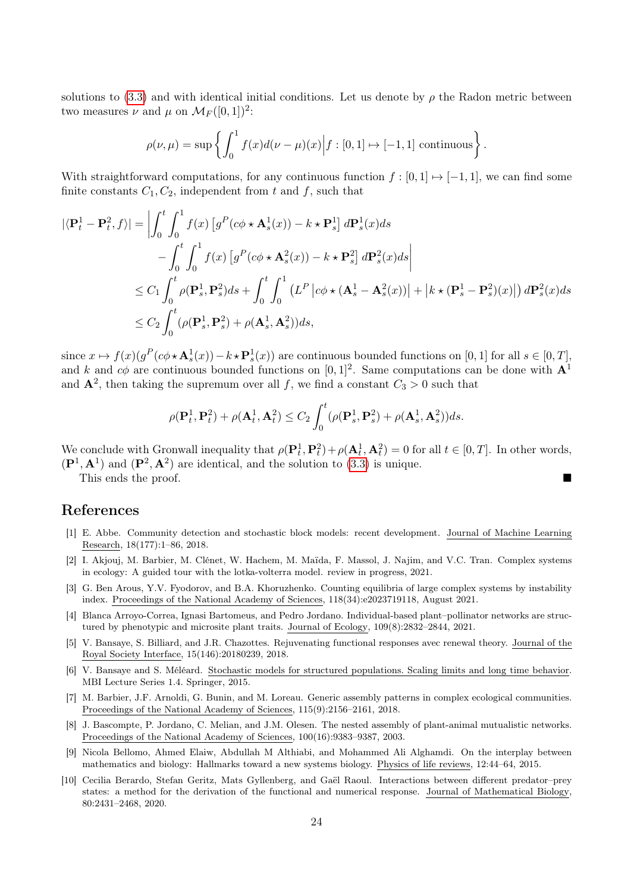solutions to (3.3) and with identical initial conditions. Let us denote by  $\rho$  the Radon metric between two measures  $\nu$  and  $\mu$  on  $\mathcal{M}_F([0,1])^2$ :

$$
\rho(\nu,\mu) = \sup \left\{ \int_0^1 f(x)d(\nu-\mu)(x) \middle| f : [0,1] \mapsto [-1,1] \text{ continuous} \right\}.
$$

With straightforward computations, for any continuous function  $f : [0, 1] \rightarrow [-1, 1]$ , we can find some finite constants  $C_1, C_2$ , independent from t and f, such that

$$
\begin{split}\n|\langle \mathbf{P}_t^1 - \mathbf{P}_t^2, f \rangle| &= \left| \int_0^t \int_0^1 f(x) \left[ g^P(c\phi \star \mathbf{A}_s^1(x)) - k \star \mathbf{P}_s^1 \right] d\mathbf{P}_s^1(x) ds \right. \\
&\left. - \int_0^t \int_0^1 f(x) \left[ g^P(c\phi \star \mathbf{A}_s^2(x)) - k \star \mathbf{P}_s^2 \right] d\mathbf{P}_s^2(x) ds \right| \\
&\leq C_1 \int_0^t \rho(\mathbf{P}_s^1, \mathbf{P}_s^2) ds + \int_0^t \int_0^1 \left( L^P \left| c\phi \star (\mathbf{A}_s^1 - \mathbf{A}_s^2(x)) \right| + \left| k \star (\mathbf{P}_s^1 - \mathbf{P}_s^2)(x) \right| \right) d\mathbf{P}_s^2(x) ds \\
&\leq C_2 \int_0^t (\rho(\mathbf{P}_s^1, \mathbf{P}_s^2) + \rho(\mathbf{A}_s^1, \mathbf{A}_s^2)) ds,\n\end{split}
$$

since  $x \mapsto f(x)(g^P(c\phi \star \mathbf{A}_s^1(x)) - k \star \mathbf{P}_s^1(x))$  are continuous bounded functions on  $[0, 1]$  for all  $s \in [0, T]$ , and k and  $c\phi$  are continuous bounded functions on [0, 1]<sup>2</sup>. Same computations can be done with  $\mathbf{A}^1$ and  $\mathbf{A}^2$ , then taking the supremum over all f, we find a constant  $C_3 > 0$  such that

$$
\rho(\mathbf{P}_t^1, \mathbf{P}_t^2) + \rho(\mathbf{A}_t^1, \mathbf{A}_t^2) \le C_2 \int_0^t (\rho(\mathbf{P}_s^1, \mathbf{P}_s^2) + \rho(\mathbf{A}_s^1, \mathbf{A}_s^2))ds.
$$

We conclude with Gronwall inequality that  $\rho(\mathbf{P}_t^1, \mathbf{P}_t^2) + \rho(\mathbf{A}_t^1, \mathbf{A}_t^2) = 0$  for all  $t \in [0, T]$ . In other words,  $(\mathbf{P}^1, \mathbf{A}^1)$  and  $(\mathbf{P}^2, \mathbf{A}^2)$  are identical, and the solution to (3.3) is unique.

This ends the proof.

## References

- [1] E. Abbe. Community detection and stochastic block models: recent development. Journal of Machine Learning Research, 18(177):1–86, 2018.
- [2] I. Akjouj, M. Barbier, M. Clénet, W. Hachem, M. Maïda, F. Massol, J. Najim, and V.C. Tran. Complex systems in ecology: A guided tour with the lotka-volterra model. review in progress, 2021.
- [3] G. Ben Arous, Y.V. Fyodorov, and B.A. Khoruzhenko. Counting equilibria of large complex systems by instability index. Proceedings of the National Academy of Sciences, 118(34):e2023719118, August 2021.
- [4] Blanca Arroyo-Correa, Ignasi Bartomeus, and Pedro Jordano. Individual-based plant–pollinator networks are structured by phenotypic and microsite plant traits. Journal of Ecology, 109(8):2832–2844, 2021.
- [5] V. Bansaye, S. Billiard, and J.R. Chazottes. Rejuvenating functional responses avec renewal theory. Journal of the Royal Society Interface, 15(146):20180239, 2018.
- [6] V. Bansaye and S. Méléard. Stochastic models for structured populations. Scaling limits and long time behavior. MBI Lecture Series 1.4. Springer, 2015.
- [7] M. Barbier, J.F. Arnoldi, G. Bunin, and M. Loreau. Generic assembly patterns in complex ecological communities. Proceedings of the National Academy of Sciences, 115(9):2156–2161, 2018.
- [8] J. Bascompte, P. Jordano, C. Melian, and J.M. Olesen. The nested assembly of plant-animal mutualistic networks. Proceedings of the National Academy of Sciences, 100(16):9383–9387, 2003.
- [9] Nicola Bellomo, Ahmed Elaiw, Abdullah M Althiabi, and Mohammed Ali Alghamdi. On the interplay between mathematics and biology: Hallmarks toward a new systems biology. Physics of life reviews, 12:44–64, 2015.
- [10] Cecilia Berardo, Stefan Geritz, Mats Gyllenberg, and Gaël Raoul. Interactions between different predator–prey states: a method for the derivation of the functional and numerical response. Journal of Mathematical Biology, 80:2431–2468, 2020.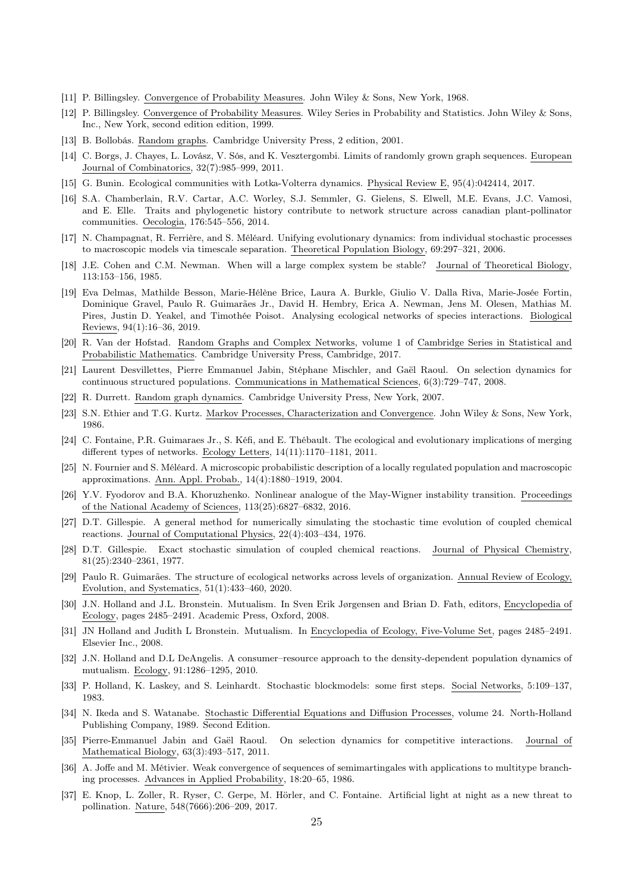- [11] P. Billingsley. Convergence of Probability Measures. John Wiley & Sons, New York, 1968.
- [12] P. Billingsley. Convergence of Probability Measures. Wiley Series in Probability and Statistics. John Wiley & Sons, Inc., New York, second edition edition, 1999.
- [13] B. Bollobás. Random graphs. Cambridge University Press, 2 edition, 2001.
- [14] C. Borgs, J. Chayes, L. Lovász, V. Sós, and K. Vesztergombi. Limits of randomly grown graph sequences. European Journal of Combinatorics, 32(7):985–999, 2011.
- [15] G. Bunin. Ecological communities with Lotka-Volterra dynamics. Physical Review E, 95(4):042414, 2017.
- [16] S.A. Chamberlain, R.V. Cartar, A.C. Worley, S.J. Semmler, G. Gielens, S. Elwell, M.E. Evans, J.C. Vamosi, and E. Elle. Traits and phylogenetic history contribute to network structure across canadian plant-pollinator communities. Oecologia, 176:545–556, 2014.
- [17] N. Champagnat, R. Ferrière, and S. Méléard. Unifying evolutionary dynamics: from individual stochastic processes to macroscopic models via timescale separation. Theoretical Population Biology, 69:297–321, 2006.
- [18] J.E. Cohen and C.M. Newman. When will a large complex system be stable? Journal of Theoretical Biology, 113:153–156, 1985.
- [19] Eva Delmas, Mathilde Besson, Marie-Hélène Brice, Laura A. Burkle, Giulio V. Dalla Riva, Marie-Josée Fortin, Dominique Gravel, Paulo R. Guimarães Jr., David H. Hembry, Erica A. Newman, Jens M. Olesen, Mathias M. Pires, Justin D. Yeakel, and Timothée Poisot. Analysing ecological networks of species interactions. Biological Reviews, 94(1):16–36, 2019.
- [20] R. Van der Hofstad. Random Graphs and Complex Networks, volume 1 of Cambridge Series in Statistical and Probabilistic Mathematics. Cambridge University Press, Cambridge, 2017.
- [21] Laurent Desvillettes, Pierre Emmanuel Jabin, Stéphane Mischler, and Gaël Raoul. On selection dynamics for continuous structured populations. Communications in Mathematical Sciences, 6(3):729–747, 2008.
- [22] R. Durrett. Random graph dynamics. Cambridge University Press, New York, 2007.
- [23] S.N. Ethier and T.G. Kurtz. Markov Processes, Characterization and Convergence. John Wiley & Sons, New York, 1986.
- [24] C. Fontaine, P.R. Guimaraes Jr., S. Kéfi, and E. Thébault. The ecological and evolutionary implications of merging different types of networks. Ecology Letters, 14(11):1170–1181, 2011.
- [25] N. Fournier and S. Méléard. A microscopic probabilistic description of a locally regulated population and macroscopic approximations. Ann. Appl. Probab., 14(4):1880–1919, 2004.
- [26] Y.V. Fyodorov and B.A. Khoruzhenko. Nonlinear analogue of the May-Wigner instability transition. Proceedings of the National Academy of Sciences, 113(25):6827–6832, 2016.
- [27] D.T. Gillespie. A general method for numerically simulating the stochastic time evolution of coupled chemical reactions. Journal of Computational Physics, 22(4):403–434, 1976.
- [28] D.T. Gillespie. Exact stochastic simulation of coupled chemical reactions. Journal of Physical Chemistry, 81(25):2340–2361, 1977.
- [29] Paulo R. Guimarães. The structure of ecological networks across levels of organization. Annual Review of Ecology, Evolution, and Systematics, 51(1):433–460, 2020.
- [30] J.N. Holland and J.L. Bronstein. Mutualism. In Sven Erik Jørgensen and Brian D. Fath, editors, Encyclopedia of Ecology, pages 2485–2491. Academic Press, Oxford, 2008.
- [31] JN Holland and Judith L Bronstein. Mutualism. In Encyclopedia of Ecology, Five-Volume Set, pages 2485–2491. Elsevier Inc., 2008.
- [32] J.N. Holland and D.L DeAngelis. A consumer–resource approach to the density-dependent population dynamics of mutualism. Ecology, 91:1286–1295, 2010.
- [33] P. Holland, K. Laskey, and S. Leinhardt. Stochastic blockmodels: some first steps. Social Networks, 5:109–137, 1983.
- [34] N. Ikeda and S. Watanabe. Stochastic Differential Equations and Diffusion Processes, volume 24. North-Holland Publishing Company, 1989. Second Edition.
- [35] Pierre-Emmanuel Jabin and Gaël Raoul. On selection dynamics for competitive interactions. Journal of Mathematical Biology, 63(3):493–517, 2011.
- [36] A. Joffe and M. Métivier. Weak convergence of sequences of semimartingales with applications to multitype branching processes. Advances in Applied Probability, 18:20–65, 1986.
- [37] E. Knop, L. Zoller, R. Ryser, C. Gerpe, M. Hörler, and C. Fontaine. Artificial light at night as a new threat to pollination. Nature, 548(7666):206–209, 2017.